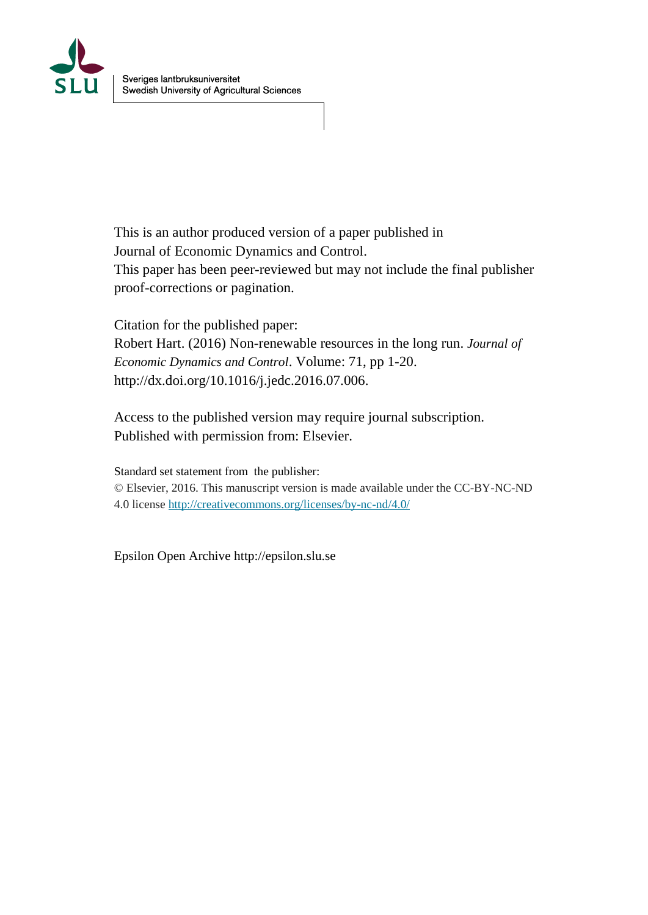

This is an author produced version of a paper published in Journal of Economic Dynamics and Control. This paper has been peer-reviewed but may not include the final publisher proof-corrections or pagination.

Citation for the published paper: Robert Hart. (2016) Non-renewable resources in the long run. *Journal of Economic Dynamics and Control*. Volume: 71, pp 1-20. http://dx.doi.org/10.1016/j.jedc.2016.07.006.

Access to the published version may require journal subscription. Published with permission from: Elsevier.

Standard set statement from the publisher:

© Elsevier, 2016. This manuscript version is made available under the CC-BY-NC-ND 4.0 license<http://creativecommons.org/licenses/by-nc-nd/4.0/>

Epsilon Open Archive http://epsilon.slu.se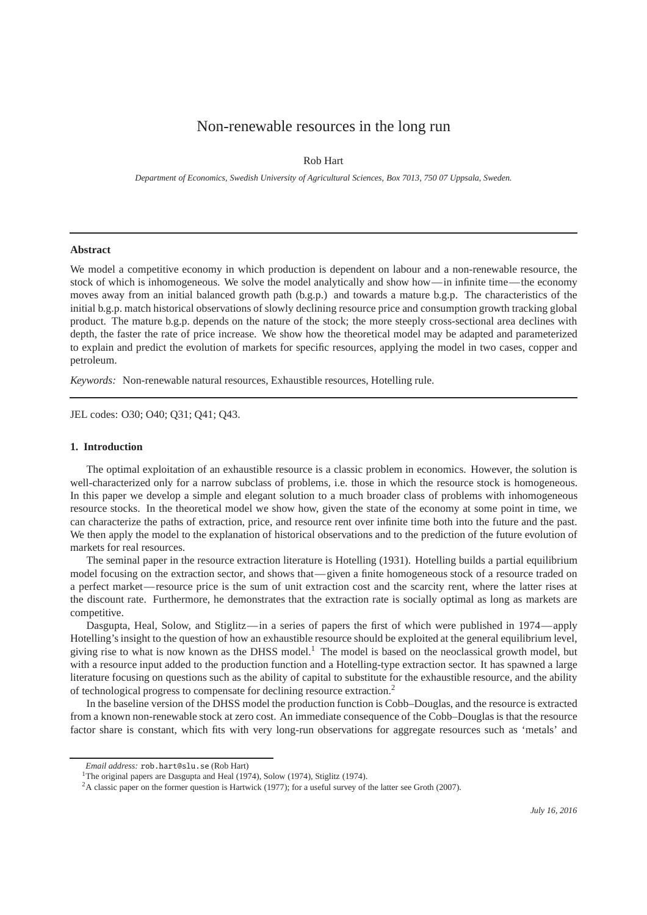# Non-renewable resources in the long run

# Rob Hart

*Department of Economics, Swedish University of Agricultural Sciences, Box 7013, 750 07 Uppsala, Sweden.*

# **Abstract**

We model a competitive economy in which production is dependent on labour and a non-renewable resource, the stock of which is inhomogeneous. We solve the model analytically and show how—in infinite time—the economy moves away from an initial balanced growth path (b.g.p.) and towards a mature b.g.p. The characteristics of the initial b.g.p. match historical observations of slowly declining resource price and consumption growth tracking global product. The mature b.g.p. depends on the nature of the stock; the more steeply cross-sectional area declines with depth, the faster the rate of price increase. We show how the theoretical model may be adapted and parameterized to explain and predict the evolution of markets for specific resources, applying the model in two cases, copper and petroleum.

*Keywords:* Non-renewable natural resources, Exhaustible resources, Hotelling rule.

JEL codes: O30; O40; Q31; Q41; Q43.

# **1. Introduction**

The optimal exploitation of an exhaustible resource is a classic problem in economics. However, the solution is well-characterized only for a narrow subclass of problems, i.e. those in which the resource stock is homogeneous. In this paper we develop a simple and elegant solution to a much broader class of problems with inhomogeneous resource stocks. In the theoretical model we show how, given the state of the economy at some point in time, we can characterize the paths of extraction, price, and resource rent over infinite time both into the future and the past. We then apply the model to the explanation of historical observations and to the prediction of the future evolution of markets for real resources.

The seminal paper in the resource extraction literature is [Hotelling \(1931](#page-23-0)). [Hotelling](#page-23-0) builds a partial equilibrium model focusing on the extraction sector, and shows that—given a finite homogeneous stock of a resource traded on a perfect market—resource price is the sum of unit extraction cost and the scarcity rent, where the latter rises at the discount rate. Furthermore, he demonstrates that the extraction rate is socially optimal as long as markets are competitive.

Dasgupta, Heal, Solow, and Stiglitz—in a series of papers the first of which were published in 1974—apply Hotelling's insight to the question of how an exhaustible resource should be exploited at the general equilibrium level, giving rise to what is now known as the DHSS model.<sup>[1](#page-1-0)</sup> The model is based on the neoclassical growth model, but with a resource input added to the production function and a Hotelling-type extraction sector. It has spawned a large literature focusing on questions such as the ability of capital to substitute for the exhaustible resource, and the ability of technological progress to compensate for declining resource extraction.[2](#page-1-1)

In the baseline version of the DHSS model the production function is Cobb–Douglas, and the resource is extracted from a known non-renewable stock at zero cost. An immediate consequence of the Cobb–Douglas is that the resource factor share is constant, which fits with very long-run observations for aggregate resources such as 'metals' and

*Email address:* rob.hart@slu.se (Rob Hart)

<sup>&</sup>lt;sup>1</sup>The original papers are [Dasgupta and Heal \(1974\)](#page-23-1), [Solow \(1974](#page-23-2)), [Stiglitz](#page-24-0) [\(1974](#page-24-0)).

<span id="page-1-1"></span><span id="page-1-0"></span><sup>&</sup>lt;sup>2</sup>A classic paper on the former question is [Hartwick](#page-23-3) [\(1977](#page-23-3)); for a useful survey of the latter see [Groth \(2007\)](#page-23-4).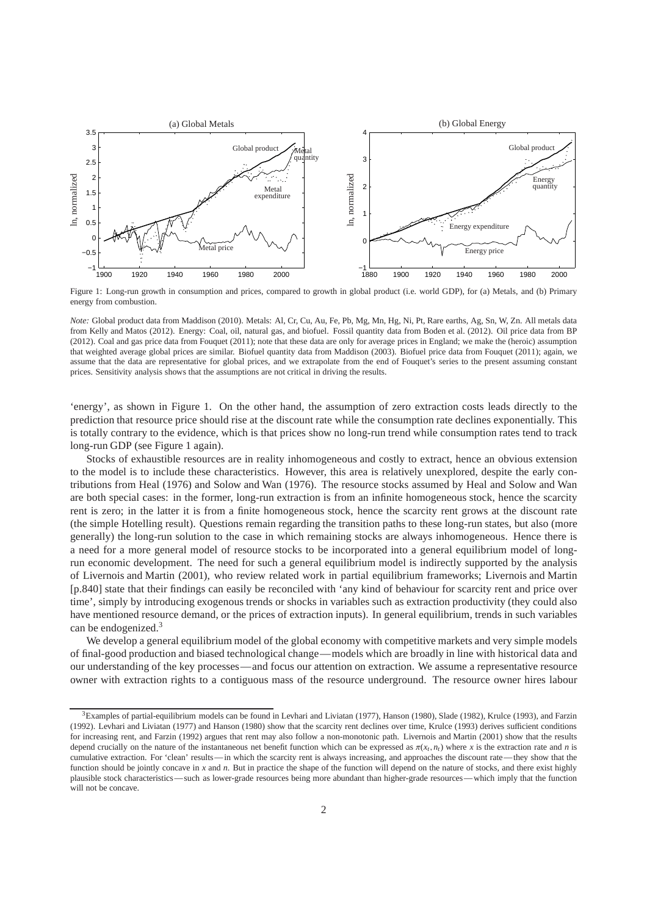

<span id="page-2-0"></span>Figure 1: Long-run growth in consumption and prices, compared to growth in global product (i.e. world GDP), for (a) Metals, and (b) Primary energy from combustion.

'energy', as shown in Figure [1.](#page-2-0) On the other hand, the assumption of zero extraction costs leads directly to the prediction that resource price should rise at the discount rate while the consumption rate declines exponentially. This is totally contrary to the evidence, which is that prices show no long-run trend while consumption rates tend to track long-run GDP (see Figure [1](#page-2-0) again).

Stocks of exhaustible resources are in reality inhomogeneous and costly to extract, hence an obvious extension to the model is to include these characteristics. However, this area is relatively unexplored, despite the early contributions from [Heal \(1976\)](#page-23-11) and [Solow and Wan \(1976\)](#page-23-12). The resource stocks assumed by [Heal](#page-23-11) and [Solow and Wan](#page-23-12) are both special cases: in the former, long-run extraction is from an infinite homogeneous stock, hence the scarcity rent is zero; in the latter it is from a finite homogeneous stock, hence the scarcity rent grows at the discount rate (the simple Hotelling result). Questions remain regarding the transition paths to these long-run states, but also (more generally) the long-run solution to the case in which remaining stocks are always inhomogeneous. Hence there is a need for a more general model of resource stocks to be incorporated into a general equilibrium model of longrun economic development. The need for such a general equilibrium model is indirectly supported by the analysis of [Livernois and Martin](#page-23-13) [\(2001\)](#page-23-13), who review related work in partial equilibrium frameworks; [Livernois and Martin](#page-23-13) [p.840] state that their findings can easily be reconciled with 'any kind of behaviour for scarcity rent and price over time', simply by introducing exogenous trends or shocks in variables such as extraction productivity (they could also have mentioned resource demand, or the prices of extraction inputs). In general equilibrium, trends in such variables can be endogenized.<sup>[3](#page-2-1)</sup>

We develop a general equilibrium model of the global economy with competitive markets and very simple models of final-good production and biased technological change—models which are broadly in line with historical data and our understanding of the key processes—and focus our attention on extraction. We assume a representative resource owner with extraction rights to a contiguous mass of the resource underground. The resource owner hires labour

*Note:* Global product data from [Maddison \(2010](#page-23-5)). Metals: Al, Cr, Cu, Au, Fe, Pb, Mg, Mn, Hg, Ni, Pt, Rare earths, Ag, Sn, W, Zn. All metals data from [Kelly and Matos \(2012](#page-23-6)). Energy: Coal, oil, natural gas, and biofuel. Fossil quantity data from [Boden et al. \(2012\)](#page-23-7). Oil price data from [BP](#page-23-8) [\(2012](#page-23-8)). Coal and gas price data from [Fouquet \(2011](#page-23-9)); note that these data are only for average prices in England; we make the (heroic) assumption that weighted average global prices are similar. Biofuel quantity data from [Maddison \(2003](#page-23-10)). Biofuel price data from [Fouquet](#page-23-9) [\(2011](#page-23-9)); again, we assume that the data are representative for global prices, and we extrapolate from the end of Fouquet's series to the present assuming constant prices. Sensitivity analysis shows that the assumptions are not critical in driving the results.

<span id="page-2-1"></span><sup>3</sup>Examples of partial-equilibrium models can be found in [Levhari and Liviatan](#page-23-14) [\(1977](#page-23-14)), [Hanson \(1980](#page-23-15)), [Slade \(1982\)](#page-23-16), [Krulce](#page-23-17) [\(1993](#page-23-17)), and [Farzin](#page-23-18) [\(1992](#page-23-18)). [Levhari and Liviatan \(1977\)](#page-23-14) and [Hanson \(1980](#page-23-15)) show that the scarcity rent declines over time, [Krulce \(1993\)](#page-23-17) derives sufficient conditions for increasing rent, and [Farzin \(1992](#page-23-18)) argues that rent may also follow a non-monotonic path. [Livernois and Martin](#page-23-13) [\(2001](#page-23-13)) show that the results depend crucially on the nature of the instantaneous net benefit function which can be expressed as  $\pi(x_t, n_t)$  where x is the extraction rate and *n* is cumulative extraction. For 'clean' results—in which the scarcity rent is always increasing, and approaches the discount rate—they show that the function should be jointly concave in x and n. But in practice the shape of the function will depend on the nature of stocks, and there exist highly plausible stock characteristics—such as lower-grade resources being more abundant than higher-grade resources—which imply that the function will not be concave.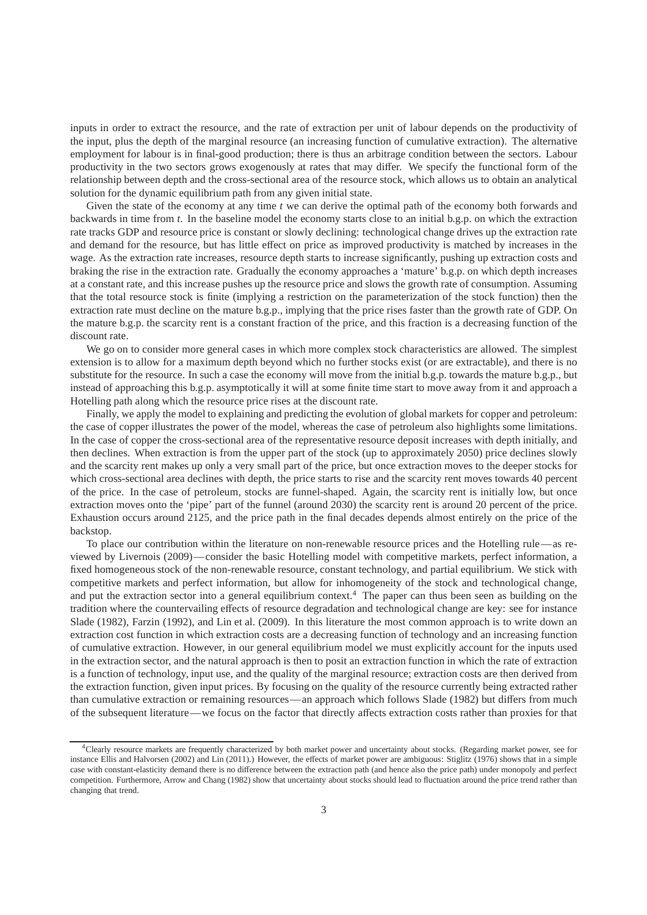inputs in order to extract the resource, and the rate of extraction per unit of labour depends on the productivity of the input, plus the depth of the marginal resource (an increasing function of cumulative extraction). The alternative employment for labour is in final-good production; there is thus an arbitrage condition between the sectors. Labour productivity in the two sectors grows exogenously at rates that may differ. We specify the functional form of the relationship between depth and the cross-sectional area of the resource stock, which allows us to obtain an analytical solution for the dynamic equilibrium path from any given initial state.

Given the state of the economy at any time *t* we can derive the optimal path of the economy both forwards and backwards in time from *t*. In the baseline model the economy starts close to an initial b.g.p. on which the extraction rate tracks GDP and resource price is constant or slowly declining: technological change drives up the extraction rate and demand for the resource, but has little effect on price as improved productivity is matched by increases in the wage. As the extraction rate increases, resource depth starts to increase significantly, pushing up extraction costs and braking the rise in the extraction rate. Gradually the economy approaches a 'mature' b.g.p. on which depth increases at a constant rate, and this increase pushes up the resource price and slows the growth rate of consumption. Assuming that the total resource stock is finite (implying a restriction on the parameterization of the stock function) then the extraction rate must decline on the mature b.g.p., implying that the price rises faster than the growth rate of GDP. On the mature b.g.p. the scarcity rent is a constant fraction of the price, and this fraction is a decreasing function of the discount rate.

We go on to consider more general cases in which more complex stock characteristics are allowed. The simplest extension is to allow for a maximum depth beyond which no further stocks exist (or are extractable), and there is no substitute for the resource. In such a case the economy will move from the initial b.g.p. towards the mature b.g.p., but instead of approaching this b.g.p. asymptotically it will at some finite time start to move away from it and approach a Hotelling path along which the resource price rises at the discount rate.

Finally, we apply the model to explaining and predicting the evolution of global markets for copper and petroleum: the case of copper illustrates the power of the model, whereas the case of petroleum also highlights some limitations. In the case of copper the cross-sectional area of the representative resource deposit increases with depth initially, and then declines. When extraction is from the upper part of the stock (up to approximately 2050) price declines slowly and the scarcity rent makes up only a very small part of the price, but once extraction moves to the deeper stocks for which cross-sectional area declines with depth, the price starts to rise and the scarcity rent moves towards 40 percent of the price. In the case of petroleum, stocks are funnel-shaped. Again, the scarcity rent is initially low, but once extraction moves onto the 'pipe' part of the funnel (around 2030) the scarcity rent is around 20 percent of the price. Exhaustion occurs around 2125, and the price path in the final decades depends almost entirely on the price of the backstop.

To place our contribution within the literature on non-renewable resource prices and the Hotelling rule—as reviewed by [Livernois](#page-23-19) [\(2009\)](#page-23-19)—consider the basic Hotelling model with competitive markets, perfect information, a fixed homogeneous stock of the non-renewable resource, constant technology, and partial equilibrium. We stick with competitive markets and perfect information, but allow for inhomogeneity of the stock and technological change, and put the extraction sector into a general equilibrium context.<sup>[4](#page-3-0)</sup> The paper can thus been seen as building on the tradition where the countervailing effects of resource degradation and technological change are key: see for instance [Slade \(1982\)](#page-23-16), [Farzin \(1992](#page-23-18)), and [Lin et al. \(2009\)](#page-23-20). In this literature the most common approach is to write down an extraction cost function in which extraction costs are a decreasing function of technology and an increasing function of cumulative extraction. However, in our general equilibrium model we must explicitly account for the inputs used in the extraction sector, and the natural approach is then to posit an extraction function in which the rate of extraction is a function of technology, input use, and the quality of the marginal resource; extraction costs are then derived from the extraction function, given input prices. By focusing on the quality of the resource currently being extracted rather than cumulative extraction or remaining resources—an approach which follows [Slade \(1982\)](#page-23-16) but differs from much of the subsequent literature—we focus on the factor that directly affects extraction costs rather than proxies for that

<span id="page-3-0"></span><sup>4</sup>Clearly resource markets are frequently characterized by both market power and uncertainty about stocks. (Regarding market power, see for instance [Ellis and Halvorsen \(2002](#page-23-21)) and [Lin](#page-23-22) [\(2011](#page-23-22)).) However, the effects of market power are ambiguous: [Stiglitz \(1976\)](#page-24-1) shows that in a simple case with constant-elasticity demand there is no difference between the extraction path (and hence also the price path) under monopoly and perfect competition. Furthermore, [Arrow and Chang \(1982\)](#page-22-0) show that uncertainty about stocks should lead to fluctuation around the price trend rather than changing that trend.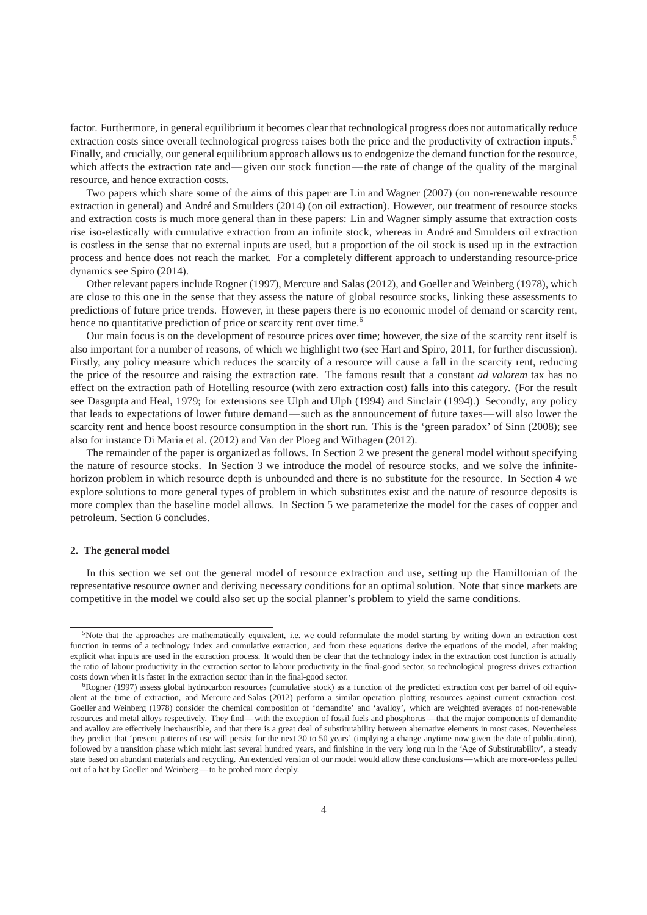factor. Furthermore, in general equilibrium it becomes clear that technological progress does not automatically reduce extraction costs since overall technological progress raises both the price and the productivity of extraction inputs.<sup>[5](#page-4-0)</sup> Finally, and crucially, our general equilibrium approach allows us to endogenize the demand function for the resource, which affects the extraction rate and—given our stock function—the rate of change of the quality of the marginal resource, and hence extraction costs.

Two papers which share some of the aims of this paper are [Lin and Wagner](#page-23-23) [\(2007\)](#page-23-23) (on non-renewable resource extraction in general) and [André and Smulders](#page-22-1) [\(2014\)](#page-22-1) (on oil extraction). However, our treatment of resource stocks and extraction costs is much more general than in these papers: [Lin and Wagner](#page-23-23) simply assume that extraction costs rise iso-elastically with cumulative extraction from an infinite stock, whereas in [André and Smulders](#page-22-1) oil extraction is costless in the sense that no external inputs are used, but a proportion of the oil stock is used up in the extraction process and hence does not reach the market. For a completely different approach to understanding resource-price dynamics see [Spiro](#page-23-24) [\(2014\)](#page-23-24).

Other relevant papers include [Rogner \(1997\)](#page-23-25), [Mercure and Salas](#page-23-26) [\(2012\)](#page-23-26), and [Goeller and Weinberg \(1978\)](#page-23-27), which are close to this one in the sense that they assess the nature of global resource stocks, linking these assessments to predictions of future price trends. However, in these papers there is no economic model of demand or scarcity rent, hence no quantitative prediction of price or scarcity rent over time.<sup>[6](#page-4-1)</sup>

Our main focus is on the development of resource prices over time; however, the size of the scarcity rent itself is also important for a number of reasons, of which we highlight two (see [Hart and Spiro, 2011,](#page-23-28) for further discussion). Firstly, any policy measure which reduces the scarcity of a resource will cause a fall in the scarcity rent, reducing the price of the resource and raising the extraction rate. The famous result that a constant *ad valorem* tax has no effect on the extraction path of Hotelling resource (with zero extraction cost) falls into this category. (For the result see [Dasgupta and Heal](#page-23-29), [1979;](#page-23-29) for extensions see [Ulph and Ulph](#page-24-2) [\(1994](#page-24-2)) and [Sinclair](#page-23-30) [\(1994\)](#page-23-30).) Secondly, any policy that leads to expectations of lower future demand—such as the announcement of future taxes—will also lower the scarcity rent and hence boost resource consumption in the short run. This is the 'green paradox' of [Sinn \(2008](#page-23-31)); see also for instance [Di Maria et al. \(2012](#page-23-32)) and Van der [Ploeg and Withagen \(2012\)](#page-23-33).

The remainder of the paper is organized as follows. In Section [2](#page-4-2) we present the general model without specifying the nature of resource stocks. In Section [3](#page-7-0) we introduce the model of resource stocks, and we solve the infinitehorizon problem in which resource depth is unbounded and there is no substitute for the resource. In Section [4](#page-12-0) we explore solutions to more general types of problem in which substitutes exist and the nature of resource deposits is more complex than the baseline model allows. In Section [5](#page-14-0) we parameterize the model for the cases of copper and petroleum. Section [6](#page-20-0) concludes.

# <span id="page-4-2"></span>**2. The general model**

In this section we set out the general model of resource extraction and use, setting up the Hamiltonian of the representative resource owner and deriving necessary conditions for an optimal solution. Note that since markets are competitive in the model we could also set up the social planner's problem to yield the same conditions.

<span id="page-4-0"></span><sup>5</sup>Note that the approaches are mathematically equivalent, i.e. we could reformulate the model starting by writing down an extraction cost function in terms of a technology index and cumulative extraction, and from these equations derive the equations of the model, after making explicit what inputs are used in the extraction process. It would then be clear that the technology index in the extraction cost function is actually the ratio of labour productivity in the extraction sector to labour productivity in the final-good sector, so technological progress drives extraction costs down when it is faster in the extraction sector than in the final-good sector.

<span id="page-4-1"></span><sup>6</sup>[Rogner \(1997](#page-23-25)) assess global hydrocarbon resources (cumulative stock) as a function of the predicted extraction cost per barrel of oil equivalent at the time of extraction, and [Mercure and Salas \(2012\)](#page-23-26) perform a similar operation plotting resources against current extraction cost. [Goeller and Weinberg \(1978](#page-23-27)) consider the chemical composition of 'demandite' and 'avalloy', which are weighted averages of non-renewable resources and metal alloys respectively. They find—with the exception of fossil fuels and phosphorus—that the major components of demandite and avalloy are effectively inexhaustible, and that there is a great deal of substitutability between alternative elements in most cases. Nevertheless they predict that 'present patterns of use will persist for the next 30 to 50 years' (implying a change anytime now given the date of publication), followed by a transition phase which might last several hundred years, and finishing in the very long run in the 'Age of Substitutability', a steady state based on abundant materials and recycling. An extended version of our model would allow these conclusions—which are more-or-less pulled out of a hat by [Goeller and Weinberg](#page-23-27) —to be probed more deeply.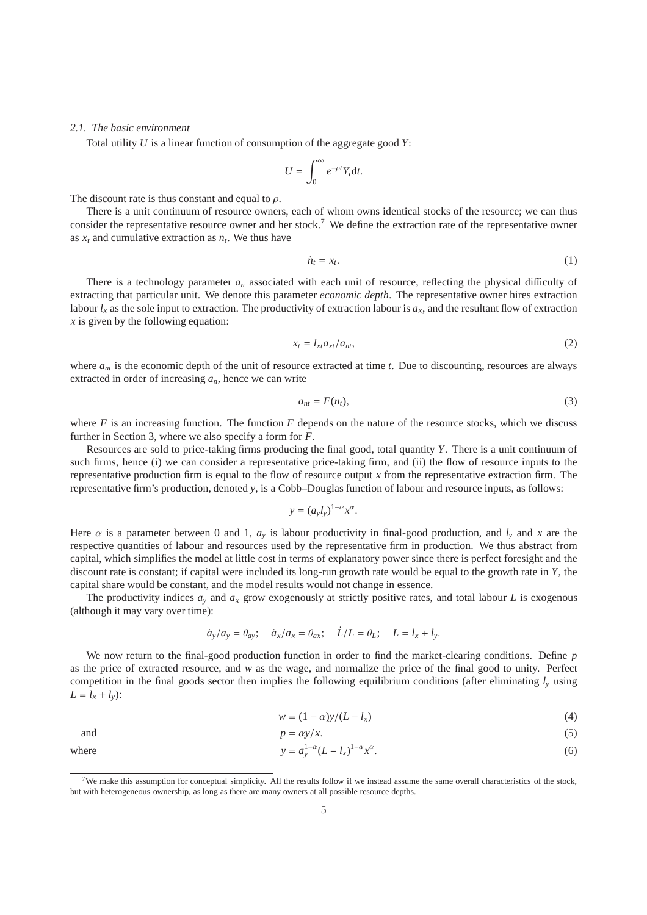# *2.1. The basic environment*

Total utility *U* is a linear function of consumption of the aggregate good *Y*:

$$
U=\int_0^\infty e^{-\rho t}Y_t\text{d} t.
$$

The discount rate is thus constant and equal to  $\rho$ .

There is a unit continuum of resource owners, each of whom owns identical stocks of the resource; we can thus consider the representative resource owner and her stock.<sup>[7](#page-5-0)</sup> We define the extraction rate of the representative owner as  $x_t$  and cumulative extraction as  $n_t$ . We thus have

<span id="page-5-2"></span><span id="page-5-1"></span>
$$
\dot{n}_t = x_t. \tag{1}
$$

There is a technology parameter *a<sup>n</sup>* associated with each unit of resource, reflecting the physical difficulty of extracting that particular unit. We denote this parameter *economic depth*. The representative owner hires extraction labour  $l_x$  as the sole input to extraction. The productivity of extraction labour is  $a_x$ , and the resultant flow of extraction *x* is given by the following equation:

$$
x_t = l_{xt} a_{xt} / a_{nt}, \tag{2}
$$

where *ant* is the economic depth of the unit of resource extracted at time *t*. Due to discounting, resources are always extracted in order of increasing *an*, hence we can write

$$
a_{nt} = F(n_t), \tag{3}
$$

where  $F$  is an increasing function. The function  $F$  depends on the nature of the resource stocks, which we discuss further in Section [3,](#page-7-0) where we also specify a form for *F*.

Resources are sold to price-taking firms producing the final good, total quantity *Y*. There is a unit continuum of such firms, hence (i) we can consider a representative price-taking firm, and (ii) the flow of resource inputs to the representative production firm is equal to the flow of resource output *x* from the representative extraction firm. The representative firm's production, denoted *y*, is a Cobb–Douglas function of labour and resource inputs, as follows:

$$
y = (a_y l_y)^{1-\alpha} x^{\alpha}
$$

<span id="page-5-4"></span><span id="page-5-3"></span>.

Here  $\alpha$  is a parameter between 0 and 1,  $a<sub>y</sub>$  is labour productivity in final-good production, and  $l<sub>y</sub>$  and x are the respective quantities of labour and resources used by the representative firm in production. We thus abstract from capital, which simplifies the model at little cost in terms of explanatory power since there is perfect foresight and the discount rate is constant; if capital were included its long-run growth rate would be equal to the growth rate in *Y*, the capital share would be constant, and the model results would not change in essence.

The productivity indices  $a<sub>y</sub>$  and  $a<sub>x</sub>$  grow exogenously at strictly positive rates, and total labour *L* is exogenous (although it may vary over time):

$$
\dot{a}_y/a_y = \theta_{ay}; \quad \dot{a}_x/a_x = \theta_{ax}; \quad \dot{L}/L = \theta_L; \quad L = l_x + l_y.
$$

We now return to the final-good production function in order to find the market-clearing conditions. Define *p* as the price of extracted resource, and *w* as the wage, and normalize the price of the final good to unity. Perfect competition in the final goods sector then implies the following equilibrium conditions (after eliminating  $l_y$  using  $L = l_x + l_y$ :

<span id="page-5-6"></span><span id="page-5-5"></span>
$$
w = (1 - \alpha)y/(L - l_x) \tag{4}
$$

and 
$$
p = \alpha y / x. \tag{5}
$$

where 
$$
y = a_y^{1-\alpha} (L - l_x)^{1-\alpha} x^{\alpha}.
$$
 (6)

<span id="page-5-0"></span><sup>&</sup>lt;sup>7</sup>We make this assumption for conceptual simplicity. All the results follow if we instead assume the same overall characteristics of the stock, but with heterogeneous ownership, as long as there are many owners at all possible resource depths.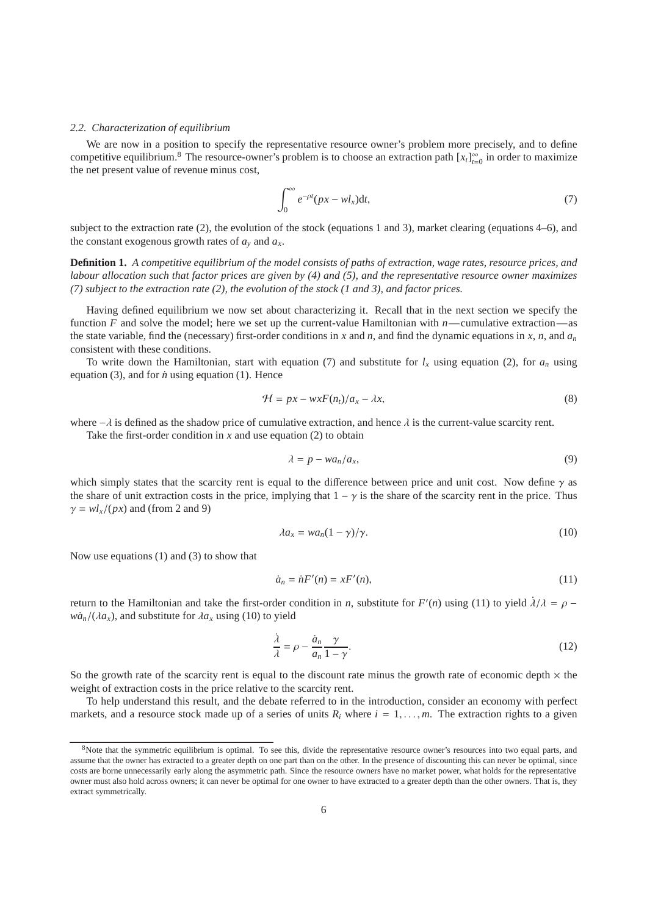# *2.2. Characterization of equilibrium*

We are now in a position to specify the representative resource owner's problem more precisely, and to define competitive equilibrium.<sup>[8](#page-6-0)</sup> The resource-owner's problem is to choose an extraction path  $[x_t]_{t=0}^{\infty}$  in order to maximize the net present value of revenue minus cost,

<span id="page-6-1"></span>
$$
\int_0^\infty e^{-\rho t} (px - w l_x) dt, \tag{7}
$$

subject to the extraction rate [\(2\)](#page-5-1), the evolution of the stock (equations [1](#page-5-2) and [3\)](#page-5-3), market clearing (equations [4–](#page-5-4)[6\)](#page-5-5), and the constant exogenous growth rates of  $a<sub>y</sub>$  and  $a<sub>x</sub>$ .

**Definition 1.** *A competitive equilibrium of the model consists of paths of extraction, wage rates, resource prices, and labour allocation such that factor prices are given by [\(4\)](#page-5-4) and [\(5\)](#page-5-6), and the representative resource owner maximizes [\(7\)](#page-6-1) subject to the extraction rate [\(2\)](#page-5-1), the evolution of the stock [\(1](#page-5-2) and [3\)](#page-5-3), and factor prices.*

Having defined equilibrium we now set about characterizing it. Recall that in the next section we specify the function *F* and solve the model; here we set up the current-value Hamiltonian with *n*—cumulative extraction—as the state variable, find the (necessary) first-order conditions in *x* and *n*, and find the dynamic equations in *x*, *n*, and  $a_n$ consistent with these conditions.

To write down the Hamiltonian, start with equation [\(7\)](#page-6-1) and substitute for  $l_x$  using equation [\(2\)](#page-5-1), for  $a_n$  using equation [\(3\)](#page-5-3), and for  $\dot{n}$  using equation [\(1\)](#page-5-2). Hence

$$
\mathcal{H} = px - wxF(n_t)/a_x - \lambda x,\tag{8}
$$

where  $-\lambda$  is defined as the shadow price of cumulative extraction, and hence  $\lambda$  is the current-value scarcity rent. Take the first-order condition in *x* and use equation [\(2\)](#page-5-1) to obtain

<span id="page-6-4"></span><span id="page-6-2"></span>
$$
\lambda = p - w a_n / a_x,\tag{9}
$$

which simply states that the scarcity rent is equal to the difference between price and unit cost. Now define  $\gamma$  as the share of unit extraction costs in the price, implying that  $1 - \gamma$  is the share of the scarcity rent in the price. Thus  $\gamma = \frac{wl_x}{(px)}$  and (from [2](#page-5-1) and [9\)](#page-6-2)

$$
\lambda a_x = w a_n (1 - \gamma) / \gamma. \tag{10}
$$

Now use equations [\(1\)](#page-5-2) and [\(3\)](#page-5-3) to show that

<span id="page-6-3"></span>
$$
\dot{a}_n = \dot{n}F'(n) = xF'(n),\tag{11}
$$

return to the Hamiltonian and take the first-order condition in *n*, substitute for  $F'(n)$  using [\(11\)](#page-6-3) to yield  $\lambda/\lambda = \rho$  –  $w\dot{a}_n/(\lambda a_x)$ , and substitute for  $\lambda a_x$  using [\(10\)](#page-6-4) to yield

<span id="page-6-5"></span>
$$
\frac{\lambda}{\lambda} = \rho - \frac{\dot{a}_n}{a_n} \frac{\gamma}{1 - \gamma}.
$$
\n(12)

So the growth rate of the scarcity rent is equal to the discount rate minus the growth rate of economic depth  $\times$  the weight of extraction costs in the price relative to the scarcity rent.

To help understand this result, and the debate referred to in the introduction, consider an economy with perfect markets, and a resource stock made up of a series of units  $R_i$  where  $i = 1, \ldots, m$ . The extraction rights to a given

<span id="page-6-0"></span><sup>&</sup>lt;sup>8</sup>Note that the symmetric equilibrium is optimal. To see this, divide the representative resource owner's resources into two equal parts, and assume that the owner has extracted to a greater depth on one part than on the other. In the presence of discounting this can never be optimal, since costs are borne unnecessarily early along the asymmetric path. Since the resource owners have no market power, what holds for the representative owner must also hold across owners; it can never be optimal for one owner to have extracted to a greater depth than the other owners. That is, they extract symmetrically.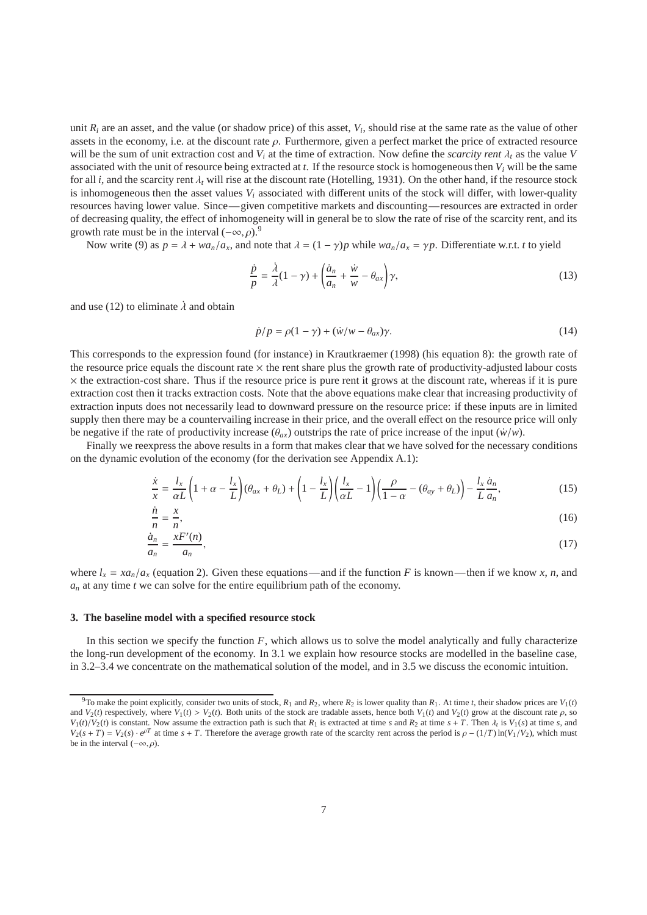unit  $R_i$  are an asset, and the value (or shadow price) of this asset,  $V_i$ , should rise at the same rate as the value of other assets in the economy, i.e. at the discount rate  $\rho$ . Furthermore, given a perfect market the price of extracted resource will be the sum of unit extraction cost and  $V_i$  at the time of extraction. Now define the *scarcity rent*  $\lambda_t$  as the value *V* associated with the unit of resource being extracted at  $t$ . If the resource stock is homogeneous then  $V_i$  will be the same for all *i*, and the scarcity rent  $\lambda_t$  will rise at the discount rate [\(Hotelling](#page-23-0), [1931\)](#page-23-0). On the other hand, if the resource stock is inhomogeneous then the asset values *V<sup>i</sup>* associated with different units of the stock will differ, with lower-quality resources having lower value. Since—given competitive markets and discounting—resources are extracted in order of decreasing quality, the effect of inhomogeneity will in general be to slow the rate of rise of the scarcity rent, and its growth rate must be in the interval  $(-\infty, \rho)$ .<sup>[9](#page-7-1)</sup>

Now write [\(9\)](#page-6-2) as  $p = \lambda + wa_n/a_x$ , and note that  $\lambda = (1 - \gamma)p$  while  $wa_n/a_x = \gamma p$ . Differentiate w.r.t. *t* to yield

$$
\frac{\dot{p}}{p} = \frac{\dot{\lambda}}{\lambda}(1-\gamma) + \left(\frac{\dot{a}_n}{a_n} + \frac{\dot{w}}{w} - \theta_{ax}\right)\gamma,\tag{13}
$$

and use [\(12\)](#page-6-5) to eliminate  $\lambda$  and obtain

<span id="page-7-6"></span><span id="page-7-5"></span><span id="page-7-4"></span><span id="page-7-3"></span><span id="page-7-2"></span>
$$
\dot{p}/p = \rho(1-\gamma) + (\dot{w}/w - \theta_{ax})\gamma.
$$
\n(14)

This corresponds to the expression found (for instance) in [Krautkraemer \(1998\)](#page-23-34) (his equation 8): the growth rate of the resource price equals the discount rate  $\times$  the rent share plus the growth rate of productivity-adjusted labour costs  $\times$  the extraction-cost share. Thus if the resource price is pure rent it grows at the discount rate, whereas if it is pure extraction cost then it tracks extraction costs. Note that the above equations make clear that increasing productivity of extraction inputs does not necessarily lead to downward pressure on the resource price: if these inputs are in limited supply then there may be a countervailing increase in their price, and the overall effect on the resource price will only be negative if the rate of productivity increase ( $\theta_{ax}$ ) outstrips the rate of price increase of the input ( $\dot{w}/w$ ).

Finally we reexpress the above results in a form that makes clear that we have solved for the necessary conditions on the dynamic evolution of the economy (for the derivation see Appendix [A.1\)](#page-21-0):

$$
\frac{\dot{x}}{x} = \frac{l_x}{\alpha L} \left( 1 + \alpha - \frac{l_x}{L} \right) (\theta_{ax} + \theta_L) + \left( 1 - \frac{l_x}{L} \right) \left( \frac{l_x}{\alpha L} - 1 \right) \left( \frac{\rho}{1 - \alpha} - (\theta_{ay} + \theta_L) \right) - \frac{l_x}{L} \frac{\dot{a}_n}{a_n},\tag{15}
$$

$$
\frac{\dot{n}}{n} = \frac{x}{n},\tag{16}
$$

$$
\frac{\dot{a}_n}{a_n} = \frac{xF'(n)}{a_n},\tag{17}
$$

where  $l_x = x a_n/a_x$  (equation [2\)](#page-5-1). Given these equations—and if the function *F* is known—then if we know *x*, *n*, and *a<sup>n</sup>* at any time *t* we can solve for the entire equilibrium path of the economy.

#### <span id="page-7-0"></span>**3. The baseline model with a specified resource stock**

In this section we specify the function *F*, which allows us to solve the model analytically and fully characterize the long-run development of the economy. In [3.1](#page-8-0) we explain how resource stocks are modelled in the baseline case, in [3.2](#page-9-0)[–3.4](#page-10-0) we concentrate on the mathematical solution of the model, and in [3.5](#page-11-0) we discuss the economic intuition.

<span id="page-7-1"></span><sup>&</sup>lt;sup>9</sup>To make the point explicitly, consider two units of stock,  $R_1$  and  $R_2$ , where  $R_2$  is lower quality than  $R_1$ . At time *t*, their shadow prices are  $V_1(t)$ and  $V_2(t)$  respectively, where  $V_1(t) > V_2(t)$ . Both units of the stock are tradable assets, hence both  $V_1(t)$  and  $V_2(t)$  grow at the discount rate  $\rho$ , so  $V_1(t)/V_2(t)$  is constant. Now assume the extraction path is such that  $R_1$  is extracted at time s and  $R_2$  at time  $s + T$ . Then  $\lambda_t$  is  $V_1(s)$  at time s, and  $V_2(s+T) = V_2(s) \cdot e^{\rho T}$  at time  $s + T$ . Therefore the average growth rate of the scarcity rent across the period is  $\rho - (1/T) \ln(V_1/V_2)$ , which must be in the interval  $(-\infty, \rho)$ .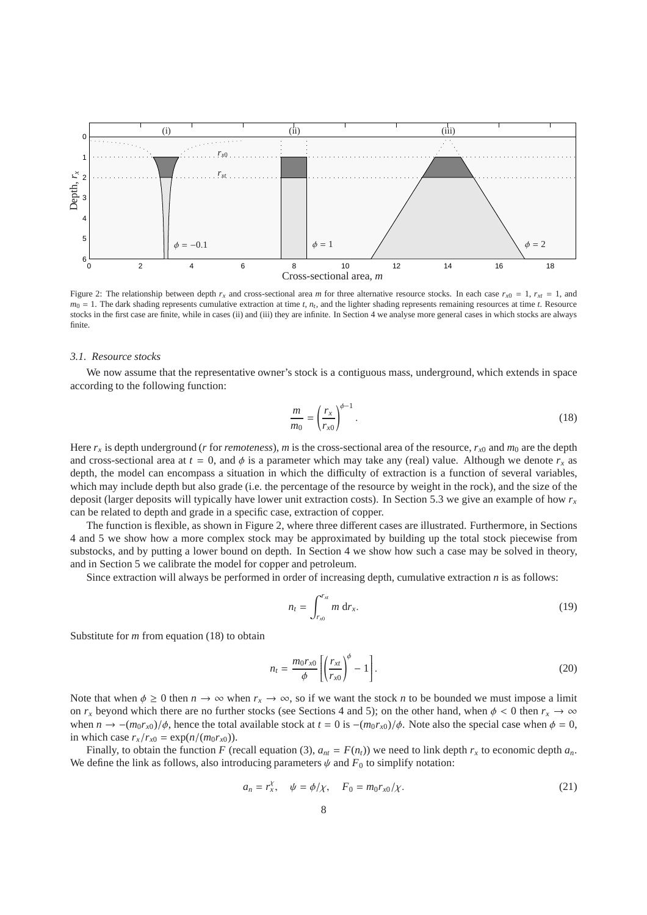

<span id="page-8-1"></span>Figure 2: The relationship between depth  $r_x$  and cross-sectional area *m* for three alternative resource stocks. In each case  $r_{x0} = 1$ ,  $r_{xt} = 1$ , and  $m_0 = 1$ . The dark shading represents cumulative extraction at time  $t$ ,  $n_t$ , and the lighter shading represents remaining resources at time  $t$ . Resource stocks in the first case are finite, while in cases (ii) and (iii) they are infinite. In Section [4](#page-12-0) we analyse more general cases in which stocks are always finite.

### <span id="page-8-0"></span>*3.1. Resource stocks*

We now assume that the representative owner's stock is a contiguous mass, underground, which extends in space according to the following function:

<span id="page-8-2"></span>
$$
\frac{m}{m_0} = \left(\frac{r_x}{r_{x0}}\right)^{\phi - 1}.\tag{18}
$$

Here  $r_x$  is depth underground (*r* for *remoteness*), *m* is the cross-sectional area of the resource,  $r_{x0}$  and  $m_0$  are the depth and cross-sectional area at  $t = 0$ , and  $\phi$  is a parameter which may take any (real) value. Although we denote  $r<sub>x</sub>$  as depth, the model can encompass a situation in which the difficulty of extraction is a function of several variables, which may include depth but also grade (i.e. the percentage of the resource by weight in the rock), and the size of the deposit (larger deposits will typically have lower unit extraction costs). In Section [5.3](#page-16-0) we give an example of how  $r<sub>x</sub>$ can be related to depth and grade in a specific case, extraction of copper.

The function is flexible, as shown in Figure [2,](#page-8-1) where three different cases are illustrated. Furthermore, in Sections [4](#page-12-0) and [5](#page-14-0) we show how a more complex stock may be approximated by building up the total stock piecewise from substocks, and by putting a lower bound on depth. In Section [4](#page-12-0) we show how such a case may be solved in theory, and in Section [5](#page-14-0) we calibrate the model for copper and petroleum.

Since extraction will always be performed in order of increasing depth, cumulative extraction *n* is as follows:

<span id="page-8-3"></span>
$$
n_t = \int_{r_{x0}}^{r_{xt}} m \, dr_x.
$$
 (19)

Substitute for *m* from equation [\(18\)](#page-8-2) to obtain

<span id="page-8-4"></span>
$$
n_t = \frac{m_0 r_{x0}}{\phi} \left[ \left( \frac{r_{xt}}{r_{x0}} \right)^{\phi} - 1 \right].
$$
 (20)

Note that when  $\phi \ge 0$  then  $n \to \infty$  when  $r_x \to \infty$ , so if we want the stock *n* to be bounded we must impose a limit on  $r_x$  beyond which there are no further stocks (see Sections [4](#page-12-0) and [5\)](#page-14-0); on the other hand, when  $\phi < 0$  then  $r_x \to \infty$ when  $n \to -(m_0 r_{x0})/\phi$ , hence the total available stock at  $t = 0$  is  $-(m_0 r_{x0})/\phi$ . Note also the special case when  $\phi = 0$ , in which case  $r_x/r_{x0} = \exp(n/(m_0 r_{x0}))$ .

Finally, to obtain the function *F* (recall equation [\(3\)](#page-5-3),  $a_{nt} = F(n_t)$ ) we need to link depth  $r_x$  to economic depth  $a_n$ . We define the link as follows, also introducing parameters  $\psi$  and  $F_0$  to simplify notation:

$$
a_n = r_x^{\chi}, \quad \psi = \phi/\chi, \quad F_0 = m_0 r_{x0}/\chi. \tag{21}
$$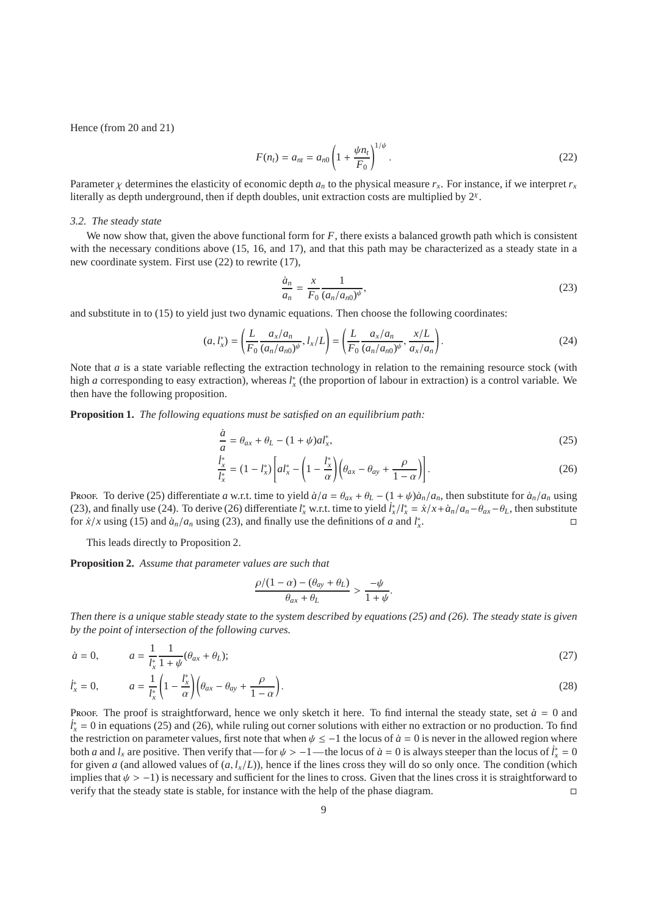Hence (from [20](#page-8-3) and [21\)](#page-8-4)

<span id="page-9-1"></span>
$$
F(n_t) = a_{nt} = a_{n0} \left( 1 + \frac{\psi n_t}{F_0} \right)^{1/\psi}.
$$
 (22)

Parameter  $\chi$  determines the elasticity of economic depth  $a_n$  to the physical measure  $r_x$ . For instance, if we interpret  $r_x$ literally as depth underground, then if depth doubles, unit extraction costs are multiplied by  $2^{\chi}$ .

# <span id="page-9-0"></span>*3.2. The steady state*

We now show that, given the above functional form for *F*, there exists a balanced growth path which is consistent with the necessary conditions above [\(15,](#page-7-2) [16,](#page-7-3) and [17\)](#page-7-4), and that this path may be characterized as a steady state in a new coordinate system. First use [\(22\)](#page-9-1) to rewrite [\(17\)](#page-7-4),

<span id="page-9-4"></span><span id="page-9-3"></span>
$$
\frac{\dot{a}_n}{a_n} = \frac{x}{F_0} \frac{1}{(a_n/a_{n0})^{\psi}},\tag{23}
$$

and substitute in to [\(15\)](#page-7-2) to yield just two dynamic equations. Then choose the following coordinates:

$$
(a, I_x^*) = \left(\frac{L}{F_0} \frac{a_x/a_n}{(a_n/a_{n0})^{\psi}}, I_x/L\right) = \left(\frac{L}{F_0} \frac{a_x/a_n}{(a_n/a_{n0})^{\psi}}, \frac{x/L}{a_x/a_n}\right). \tag{24}
$$

Note that *a* is a state variable reflecting the extraction technology in relation to the remaining resource stock (with high *a* corresponding to easy extraction), whereas  $l_x^*$  (the proportion of labour in extraction) is a control variable. We then have the following proposition.

<span id="page-9-9"></span>**Proposition 1.** *The following equations must be satisfied on an equilibrium path:*

$$
\frac{\dot{a}}{a} = \theta_{ax} + \theta_L - (1 + \psi)a l_x^*,\tag{25}
$$

$$
\frac{\dot{l}_x^*}{l_x^*} = (1 - l_x^*) \left[ a l_x^* - \left( 1 - \frac{l_x^*}{\alpha} \right) \left( \theta_{ax} - \theta_{ay} + \frac{\rho}{1 - \alpha} \right) \right]. \tag{26}
$$

<span id="page-9-8"></span><span id="page-9-7"></span><span id="page-9-5"></span><span id="page-9-2"></span>.

Proof. To derive [\(25\)](#page-9-2) differentiate *a* w.r.t. time to yield  $\dot{a}/a = \theta_{ax} + \theta_L - (1 + \psi)\dot{a}_n/a_n$ , then substitute for  $\dot{a}_n/a_n$  using [\(23\)](#page-9-3), and finally use [\(24\)](#page-9-4). To derive [\(26\)](#page-9-5) differentiate  $l_x^*$  w.r.t. time to yield  $l_x^*/l_x^* = \dot{x}/x + \dot{a}_n/a_n - \theta_{ax} - \theta_L$ , then substitute for  $\dot{x}/x$  using [\(15\)](#page-7-2) and  $\dot{a}_n/a_n$  using [\(23\)](#page-9-3), and finally use the definitions of *a* and  $l_x^*$ . В последните последните поделение и последните поделение и последните поделение и последните поделение и по<br>В последните поделение и последните поделение и поделение и поделение и поделение и поделение и поделение и по

<span id="page-9-6"></span>This leads directly to Proposition [2.](#page-9-6)

**Proposition 2.** *Assume that parameter values are such that*

$$
\frac{\rho/(1-\alpha) - (\theta_{ay} + \theta_L)}{\theta_{ax} + \theta_L} > \frac{-\psi}{1 + \psi}
$$

*Then there is a unique stable steady state to the system described by equations [\(25\)](#page-9-2) and [\(26\)](#page-9-5). The steady state is given by the point of intersection of the following curves.*

$$
\dot{a} = 0, \qquad a = \frac{1}{l_x^*} \frac{1}{1 + \psi} (\theta_{ax} + \theta_L); \tag{27}
$$

$$
\dot{l}_x^* = 0, \qquad a = \frac{1}{l_x^*} \left( 1 - \frac{l_x^*}{\alpha} \right) \left( \theta_{ax} - \theta_{ay} + \frac{\rho}{1 - \alpha} \right). \tag{28}
$$

Proof. The proof is straightforward, hence we only sketch it here. To find internal the steady state, set  $\dot{a} = 0$  and  $i_x^* = 0$  in equations [\(25\)](#page-9-2) and [\(26\)](#page-9-5), while ruling out corner solutions with either no extraction or no production. To find the restriction on parameter values, first note that when  $\psi \leq -1$  the locus of  $\dot{a} = 0$  is never in the allowed region where both *a* and *l<sub>x</sub>* are positive. Then verify that—for  $\psi > -1$ —the locus of  $\dot{a} = 0$  is always steeper than the locus of  $\dot{l}_x^* = 0$ for given *a* (and allowed values of  $(a, l_x/L)$ ), hence if the lines cross they will do so only once. The condition (which implies that  $\psi > -1$ ) is necessary and sufficient for the lines to cross. Given that the lines cross it is straightforward to verify that the steady state is stable, for instance with the help of the phase diagram.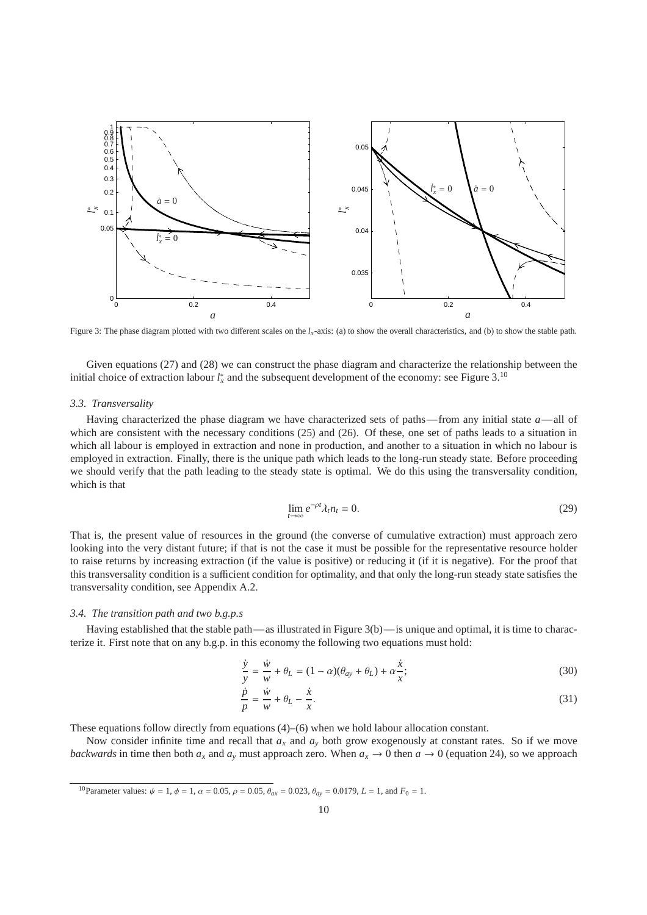

<span id="page-10-1"></span>Figure 3: The phase diagram plotted with two different scales on the *lx*-axis: (a) to show the overall characteristics, and (b) to show the stable path.

Given equations [\(27\)](#page-9-7) and [\(28\)](#page-9-8) we can construct the phase diagram and characterize the relationship between the initial choice of extraction labour  $l_x^*$  and the subsequent development of the economy: see Figure [3.](#page-10-1)<sup>[10](#page-10-2)</sup>

# *3.3. Transversality*

Having characterized the phase diagram we have characterized sets of paths—from any initial state *a*—all of which are consistent with the necessary conditions [\(25\)](#page-9-2) and [\(26\)](#page-9-5). Of these, one set of paths leads to a situation in which all labour is employed in extraction and none in production, and another to a situation in which no labour is employed in extraction. Finally, there is the unique path which leads to the long-run steady state. Before proceeding we should verify that the path leading to the steady state is optimal. We do this using the transversality condition, which is that

<span id="page-10-5"></span><span id="page-10-3"></span>
$$
\lim_{t \to \infty} e^{-\rho t} \lambda_t n_t = 0. \tag{29}
$$

That is, the present value of resources in the ground (the converse of cumulative extraction) must approach zero looking into the very distant future; if that is not the case it must be possible for the representative resource holder to raise returns by increasing extraction (if the value is positive) or reducing it (if it is negative). For the proof that this transversality condition is a sufficient condition for optimality, and that only the long-run steady state satisfies the transversality condition, see Appendix [A.2.](#page-22-2)

# <span id="page-10-0"></span>*3.4. The transition path and two b.g.p.s*

Having established that the stable path—as illustrated in Figure [3\(](#page-10-1)b)—is unique and optimal, it is time to characterize it. First note that on any b.g.p. in this economy the following two equations must hold:

$$
\frac{\dot{y}}{y} = \frac{\dot{w}}{w} + \theta_L = (1 - \alpha)(\theta_{ay} + \theta_L) + \alpha \frac{\dot{x}}{x};
$$
\n(30)

<span id="page-10-4"></span>
$$
\frac{\dot{p}}{p} = \frac{\dot{w}}{w} + \theta_L - \frac{\dot{x}}{x}.\tag{31}
$$

These equations follow directly from equations [\(4\)](#page-5-4)–[\(6\)](#page-5-5) when we hold labour allocation constant.

Now consider infinite time and recall that  $a_x$  and  $a_y$  both grow exogenously at constant rates. So if we move *backwards* in time then both  $a_x$  and  $a_y$  must approach zero. When  $a_x \to 0$  then  $a \to 0$  (equation [24\)](#page-9-4), so we approach

<span id="page-10-2"></span><sup>&</sup>lt;sup>10</sup>Parameter values:  $\psi = 1$ ,  $\phi = 1$ ,  $\alpha = 0.05$ ,  $\rho = 0.05$ ,  $\theta_{ax} = 0.023$ ,  $\theta_{ay} = 0.0179$ ,  $L = 1$ , and  $F_0 = 1$ .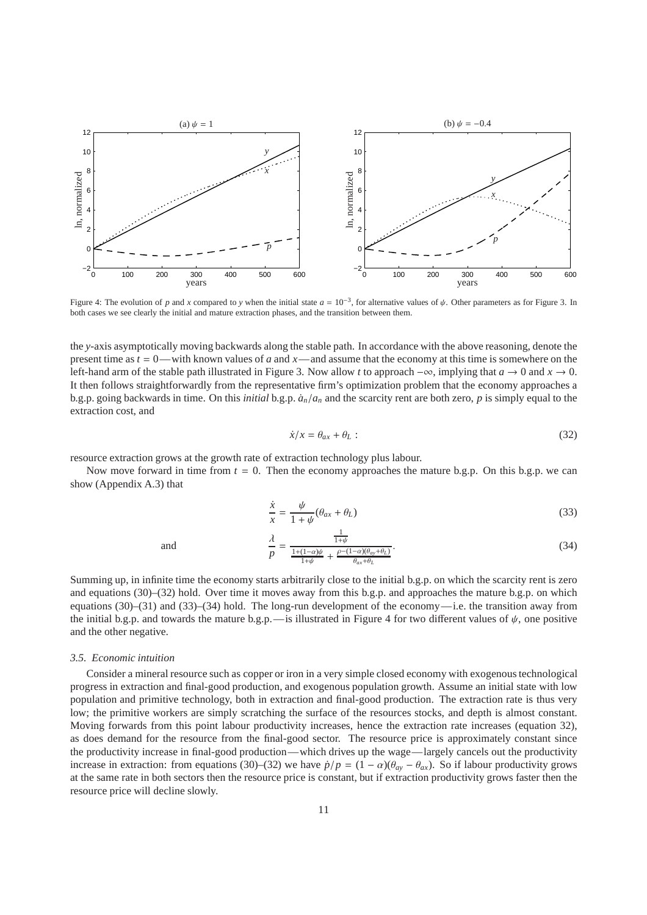

<span id="page-11-4"></span>Figure 4: The evolution of *p* and *x* compared to *y* when the initial state  $a = 10^{-3}$ , for alternative values of  $\psi$ . Other parameters as for Figure [3.](#page-10-1) In both cases we see clearly the initial and mature extraction phases, and the transition between them.

the *y*-axis asymptotically moving backwards along the stable path. In accordance with the above reasoning, denote the present time as *t* = 0—with known values of *a* and *x*—and assume that the economy at this time is somewhere on the left-hand arm of the stable path illustrated in Figure [3.](#page-10-1) Now allow *t* to approach −∞, implying that *a* → 0 and *x* → 0. It then follows straightforwardly from the representative firm's optimization problem that the economy approaches a b.g.p. going backwards in time. On this *initial* b.g.p.  $\dot{a}_n/a_n$  and the scarcity rent are both zero, *p* is simply equal to the extraction cost, and

<span id="page-11-3"></span><span id="page-11-2"></span><span id="page-11-1"></span>
$$
\dot{x}/x = \theta_{ax} + \theta_L: \tag{32}
$$

resource extraction grows at the growth rate of extraction technology plus labour.

Now move forward in time from  $t = 0$ . Then the economy approaches the mature b.g.p. On this b.g.p. we can show (Appendix [A.3\)](#page-22-3) that

$$
\frac{\dot{x}}{x} = \frac{\psi}{1 + \psi} (\theta_{ax} + \theta_L) \tag{33}
$$

and 
$$
\frac{\lambda}{p} = \frac{\frac{1}{1+\psi}}{\frac{1+(1-\alpha)\psi}{1+\psi} + \frac{\rho-(1-\alpha)(\theta_{a\psi}+\theta_L)}{\theta_{a\psi}+\theta_L}}.
$$
(34)

Summing up, in infinite time the economy starts arbitrarily close to the initial b.g.p. on which the scarcity rent is zero and equations [\(30\)](#page-10-3)–[\(32\)](#page-11-1) hold. Over time it moves away from this b.g.p. and approaches the mature b.g.p. on which equations [\(30\)](#page-10-3)–[\(31\)](#page-10-4) and [\(33\)](#page-11-2)–[\(34\)](#page-11-3) hold. The long-run development of the economy—i.e. the transition away from the initial b.g.p. and towards the mature b.g.p.—is illustrated in Figure [4](#page-11-4) for two different values of  $\psi$ , one positive and the other negative.

#### <span id="page-11-0"></span>*3.5. Economic intuition*

Consider a mineral resource such as copper or iron in a very simple closed economy with exogenous technological progress in extraction and final-good production, and exogenous population growth. Assume an initial state with low population and primitive technology, both in extraction and final-good production. The extraction rate is thus very low; the primitive workers are simply scratching the surface of the resources stocks, and depth is almost constant. Moving forwards from this point labour productivity increases, hence the extraction rate increases (equation [32\)](#page-11-1), as does demand for the resource from the final-good sector. The resource price is approximately constant since the productivity increase in final-good production—which drives up the wage—largely cancels out the productivity increase in extraction: from equations [\(30\)](#page-10-3)–[\(32\)](#page-11-1) we have  $\dot{p}/p = (1 - \alpha)(\theta_{av} - \theta_{ax})$ . So if labour productivity grows at the same rate in both sectors then the resource price is constant, but if extraction productivity grows faster then the resource price will decline slowly.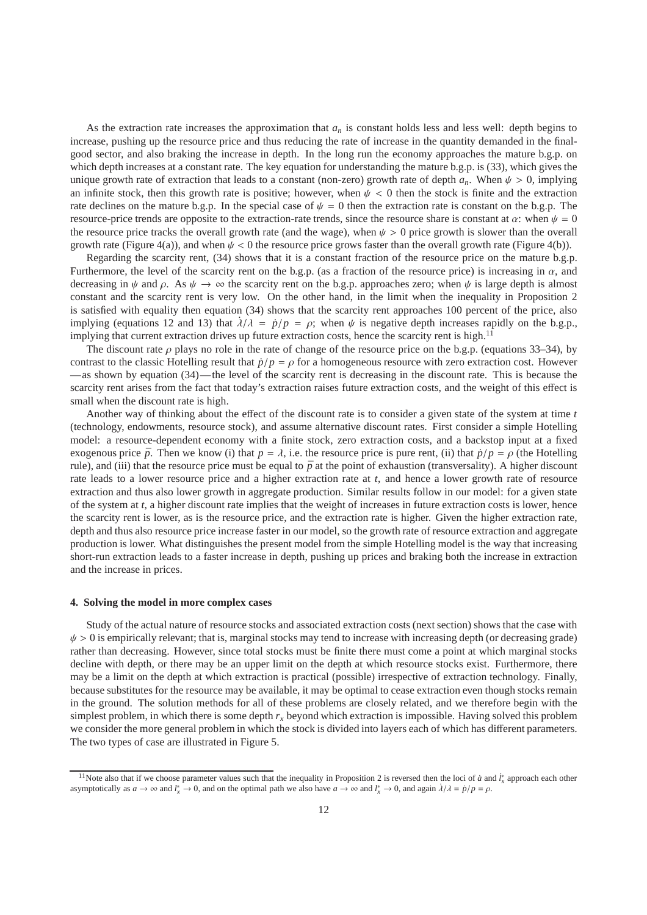As the extraction rate increases the approximation that  $a_n$  is constant holds less and less well: depth begins to increase, pushing up the resource price and thus reducing the rate of increase in the quantity demanded in the finalgood sector, and also braking the increase in depth. In the long run the economy approaches the mature b.g.p. on which depth increases at a constant rate. The key equation for understanding the mature b.g.p. is [\(33\)](#page-11-2), which gives the unique growth rate of extraction that leads to a constant (non-zero) growth rate of depth  $a_n$ . When  $\psi > 0$ , implying an infinite stock, then this growth rate is positive; however, when  $\psi < 0$  then the stock is finite and the extraction rate declines on the mature b.g.p. In the special case of  $\psi = 0$  then the extraction rate is constant on the b.g.p. The resource-price trends are opposite to the extraction-rate trends, since the resource share is constant at  $\alpha$ : when  $\psi = 0$ the resource price tracks the overall growth rate (and the wage), when  $\psi > 0$  price growth is slower than the overall growth rate (Figure [4\(](#page-11-4)a)), and when  $\psi$  < 0 the resource price grows faster than the overall growth rate (Figure 4(b)).

Regarding the scarcity rent, [\(34\)](#page-11-3) shows that it is a constant fraction of the resource price on the mature b.g.p. Furthermore, the level of the scarcity rent on the b.g.p. (as a fraction of the resource price) is increasing in  $\alpha$ , and decreasing in  $\psi$  and  $\rho$ . As  $\psi \to \infty$  the scarcity rent on the b.g.p. approaches zero; when  $\psi$  is large depth is almost constant and the scarcity rent is very low. On the other hand, in the limit when the inequality in Proposition [2](#page-9-6) is satisfied with equality then equation [\(34\)](#page-11-3) shows that the scarcity rent approaches 100 percent of the price, also implying (equations [12](#page-6-5) and [13\)](#page-7-5) that  $\lambda/\lambda = p/p = \rho$ ; when  $\psi$  is negative depth increases rapidly on the b.g.p., implying that current extraction drives up future extraction costs, hence the scarcity rent is high.<sup>[11](#page-12-1)</sup>

The discount rate  $\rho$  plays no role in the rate of change of the resource price on the b.g.p. (equations [33–](#page-11-2)[34\)](#page-11-3), by contrast to the classic Hotelling result that  $\dot{p}/p = \rho$  for a homogeneous resource with zero extraction cost. However —as shown by equation [\(34\)](#page-11-3)—the level of the scarcity rent is decreasing in the discount rate. This is because the scarcity rent arises from the fact that today's extraction raises future extraction costs, and the weight of this effect is small when the discount rate is high.

Another way of thinking about the effect of the discount rate is to consider a given state of the system at time *t* (technology, endowments, resource stock), and assume alternative discount rates. First consider a simple Hotelling model: a resource-dependent economy with a finite stock, zero extraction costs, and a backstop input at a fixed exogenous price  $\bar{p}$ . Then we know (i) that  $p = \lambda$ , i.e. the resource price is pure rent, (ii) that  $\dot{p}/p = \rho$  (the Hotelling rule), and (iii) that the resource price must be equal to  $\bar{p}$  at the point of exhaustion (transversality). A higher discount rate leads to a lower resource price and a higher extraction rate at *t*, and hence a lower growth rate of resource extraction and thus also lower growth in aggregate production. Similar results follow in our model: for a given state of the system at *t*, a higher discount rate implies that the weight of increases in future extraction costs is lower, hence the scarcity rent is lower, as is the resource price, and the extraction rate is higher. Given the higher extraction rate, depth and thus also resource price increase faster in our model, so the growth rate of resource extraction and aggregate production is lower. What distinguishes the present model from the simple Hotelling model is the way that increasing short-run extraction leads to a faster increase in depth, pushing up prices and braking both the increase in extraction and the increase in prices.

# <span id="page-12-0"></span>**4. Solving the model in more complex cases**

Study of the actual nature of resource stocks and associated extraction costs (next section) shows that the case with  $\psi > 0$  is empirically relevant; that is, marginal stocks may tend to increase with increasing depth (or decreasing grade) rather than decreasing. However, since total stocks must be finite there must come a point at which marginal stocks decline with depth, or there may be an upper limit on the depth at which resource stocks exist. Furthermore, there may be a limit on the depth at which extraction is practical (possible) irrespective of extraction technology. Finally, because substitutes for the resource may be available, it may be optimal to cease extraction even though stocks remain in the ground. The solution methods for all of these problems are closely related, and we therefore begin with the simplest problem, in which there is some depth  $r<sub>x</sub>$  beyond which extraction is impossible. Having solved this problem we consider the more general problem in which the stock is divided into layers each of which has different parameters. The two types of case are illustrated in Figure [5.](#page-13-0)

<span id="page-12-1"></span><sup>&</sup>lt;sup>11</sup>Note also that if we choose parameter values such that the inequality in Proposition [2](#page-9-6) is reversed then the loci of  $\dot{a}$  and  $\dot{l}_x^*$  approach each other asymptotically as  $a \to \infty$  and  $l_x^* \to 0$ , and on the optimal path we also have  $a \to \infty$  and  $l_x^* \to 0$ , and again  $\lambda/\lambda = p/p = \rho$ .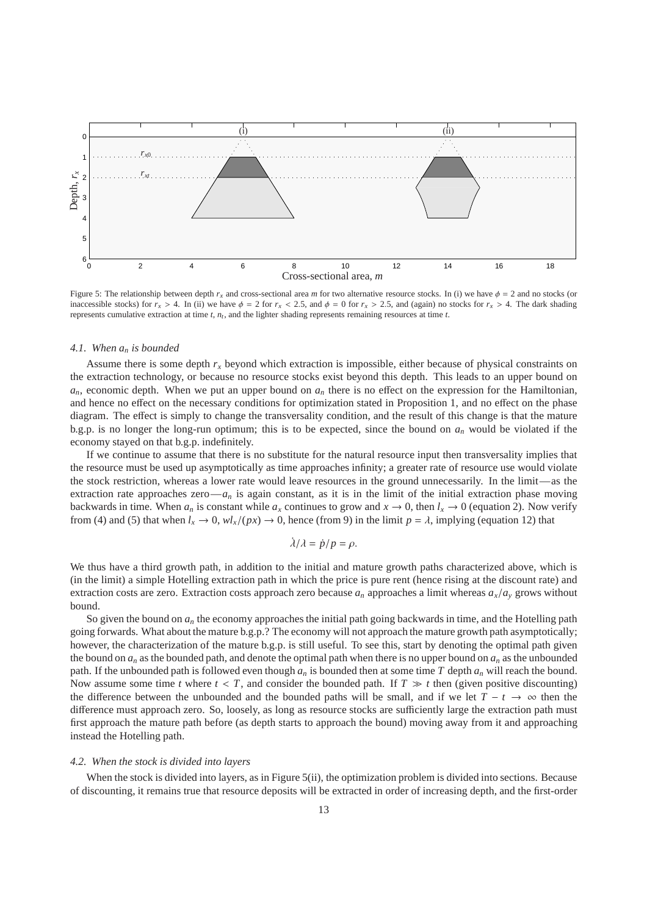

<span id="page-13-0"></span>Figure 5: The relationship between depth  $r_x$  and cross-sectional area *m* for two alternative resource stocks. In (i) we have  $\phi = 2$  and no stocks (or inaccessible stocks) for  $r_x > 4$ . In (ii) we have  $\phi = 2$  for  $r_x < 2.5$ , and  $\phi = 0$  for  $r_x > 2.5$ , and (again) no stocks for  $r_x > 4$ . The dark shading represents cumulative extraction at time *t*, *n<sup>t</sup>* , and the lighter shading represents remaining resources at time *t*.

# *4.1. When a<sup>n</sup> is bounded*

Assume there is some depth  $r<sub>x</sub>$  beyond which extraction is impossible, either because of physical constraints on the extraction technology, or because no resource stocks exist beyond this depth. This leads to an upper bound on  $a_n$ , economic depth. When we put an upper bound on  $a_n$  there is no effect on the expression for the Hamiltonian, and hence no effect on the necessary conditions for optimization stated in Proposition [1,](#page-9-9) and no effect on the phase diagram. The effect is simply to change the transversality condition, and the result of this change is that the mature b.g.p. is no longer the long-run optimum; this is to be expected, since the bound on  $a_n$  would be violated if the economy stayed on that b.g.p. indefinitely.

If we continue to assume that there is no substitute for the natural resource input then transversality implies that the resource must be used up asymptotically as time approaches infinity; a greater rate of resource use would violate the stock restriction, whereas a lower rate would leave resources in the ground unnecessarily. In the limit—as the extraction rate approaches zero— $a_n$  is again constant, as it is in the limit of the initial extraction phase moving backwards in time. When  $a_n$  is constant while  $a_x$  continues to grow and  $x \to 0$ , then  $l_x \to 0$  (equation [2\)](#page-5-1). Now verify from [\(4\)](#page-5-4) and [\(5\)](#page-5-6) that when  $l_x \to 0$ ,  $wl_x/(px) \to 0$ , hence (from [9\)](#page-6-2) in the limit  $p = \lambda$ , implying (equation [12\)](#page-6-5) that

$$
\lambda/\lambda = \dot{p}/p = \rho.
$$

We thus have a third growth path, in addition to the initial and mature growth paths characterized above, which is (in the limit) a simple Hotelling extraction path in which the price is pure rent (hence rising at the discount rate) and extraction costs are zero. Extraction costs approach zero because  $a_n$  approaches a limit whereas  $a_x/a_y$  grows without bound.

So given the bound on  $a_n$  the economy approaches the initial path going backwards in time, and the Hotelling path going forwards. What about the mature b.g.p.? The economy will not approach the mature growth path asymptotically; however, the characterization of the mature b.g.p. is still useful. To see this, start by denoting the optimal path given the bound on  $a_n$  as the bounded path, and denote the optimal path when there is no upper bound on  $a_n$  as the unbounded path. If the unbounded path is followed even though  $a_n$  is bounded then at some time  $T$  depth  $a_n$  will reach the bound. Now assume some time *t* where  $t < T$ , and consider the bounded path. If  $T \gg t$  then (given positive discounting) the difference between the unbounded and the bounded paths will be small, and if we let  $T - t \rightarrow \infty$  then the difference must approach zero. So, loosely, as long as resource stocks are sufficiently large the extraction path must first approach the mature path before (as depth starts to approach the bound) moving away from it and approaching instead the Hotelling path.

#### *4.2. When the stock is divided into layers*

When the stock is divided into layers, as in Figure [5\(](#page-13-0)ii), the optimization problem is divided into sections. Because of discounting, it remains true that resource deposits will be extracted in order of increasing depth, and the first-order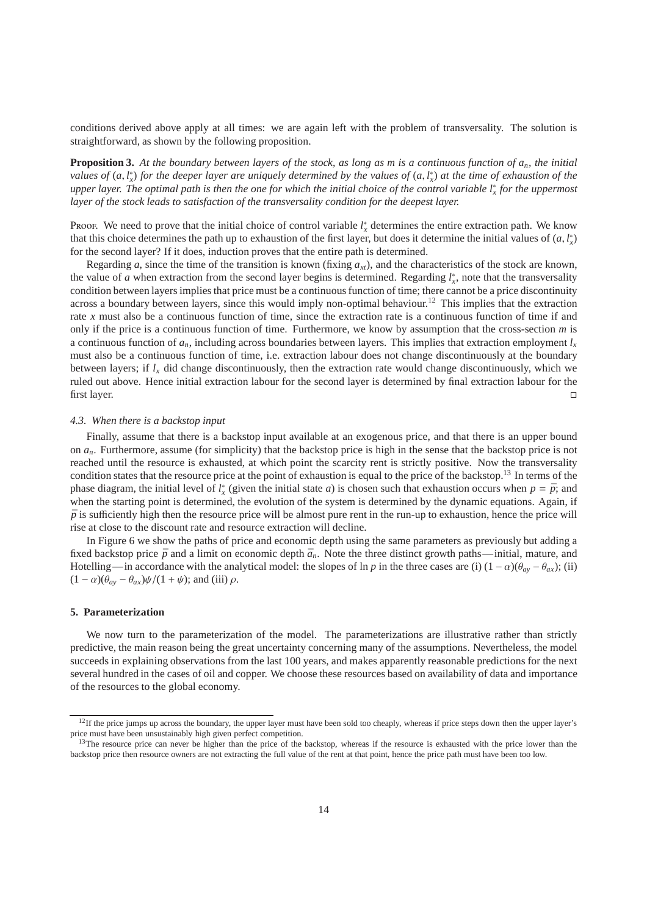conditions derived above apply at all times: we are again left with the problem of transversality. The solution is straightforward, as shown by the following proposition.

**Proposition 3.** *At the boundary between layers of the stock, as long as m is a continuous function of an, the initial values of* (*a*, *l* ∗ *x* ) *for the deeper layer are uniquely determined by the values of* (*a*, *l* ∗ *x* ) *at the time of exhaustion of the upper layer. The optimal path is then the one for which the initial choice of the control variable l*<sup>∗</sup> *x for the uppermost layer of the stock leads to satisfaction of the transversality condition for the deepest layer.*

Proof. We need to prove that the initial choice of control variable  $l_x^*$  determines the entire extraction path. We know that this choice determines the path up to exhaustion of the first layer, but does it determine the initial values of  $(a, l_x^*)$ for the second layer? If it does, induction proves that the entire path is determined.

Regarding *a*, since the time of the transition is known (fixing  $a_{xt}$ ), and the characteristics of the stock are known, the value of *a* when extraction from the second layer begins is determined. Regarding  $l_x^*$ , note that the transversality condition between layers implies that price must be a continuous function of time; there cannot be a price discontinuity across a boundary between layers, since this would imply non-optimal behaviour.<sup>[12](#page-14-1)</sup> This implies that the extraction rate *x* must also be a continuous function of time, since the extraction rate is a continuous function of time if and only if the price is a continuous function of time. Furthermore, we know by assumption that the cross-section *m* is a continuous function of  $a_n$ , including across boundaries between layers. This implies that extraction employment  $l_x$ must also be a continuous function of time, i.e. extraction labour does not change discontinuously at the boundary between layers; if *l<sup>x</sup>* did change discontinuously, then the extraction rate would change discontinuously, which we ruled out above. Hence initial extraction labour for the second layer is determined by final extraction labour for the first layer.  $\Box$ 

# *4.3. When there is a backstop input*

Finally, assume that there is a backstop input available at an exogenous price, and that there is an upper bound on *an*. Furthermore, assume (for simplicity) that the backstop price is high in the sense that the backstop price is not reached until the resource is exhausted, at which point the scarcity rent is strictly positive. Now the transversality condition states that the resource price at the point of exhaustion is equal to the price of the backstop.[13](#page-14-2) In terms of the phase diagram, the initial level of  $l_x^*$  (given the initial state *a*) is chosen such that exhaustion occurs when  $p = \bar{p}$ ; and when the starting point is determined, the evolution of the system is determined by the dynamic equations. Again, if  $\bar{p}$  is sufficiently high then the resource price will be almost pure rent in the run-up to exhaustion, hence the price will rise at close to the discount rate and resource extraction will decline.

In Figure [6](#page-15-0) we show the paths of price and economic depth using the same parameters as previously but adding a fixed backstop price  $\bar{p}$  and a limit on economic depth  $\bar{a}_n$ . Note the three distinct growth paths—initial, mature, and Hotelling—in accordance with the analytical model: the slopes of ln *p* in the three cases are (i)  $(1 - \alpha)(\theta_{av} - \theta_{ax})$ ; (ii)  $(1 - \alpha)(\theta_{\alpha y} - \theta_{\alpha x})\psi/(1 + \psi)$ ; and (iii)  $\rho$ .

# <span id="page-14-0"></span>**5. Parameterization**

We now turn to the parameterization of the model. The parameterizations are illustrative rather than strictly predictive, the main reason being the great uncertainty concerning many of the assumptions. Nevertheless, the model succeeds in explaining observations from the last 100 years, and makes apparently reasonable predictions for the next several hundred in the cases of oil and copper. We choose these resources based on availability of data and importance of the resources to the global economy.

 $12$ If the price jumps up across the boundary, the upper layer must have been sold too cheaply, whereas if price steps down then the upper layer's price must have been unsustainably high given perfect competition.

<span id="page-14-2"></span><span id="page-14-1"></span><sup>&</sup>lt;sup>13</sup>The resource price can never be higher than the price of the backstop, whereas if the resource is exhausted with the price lower than the backstop price then resource owners are not extracting the full value of the rent at that point, hence the price path must have been too low.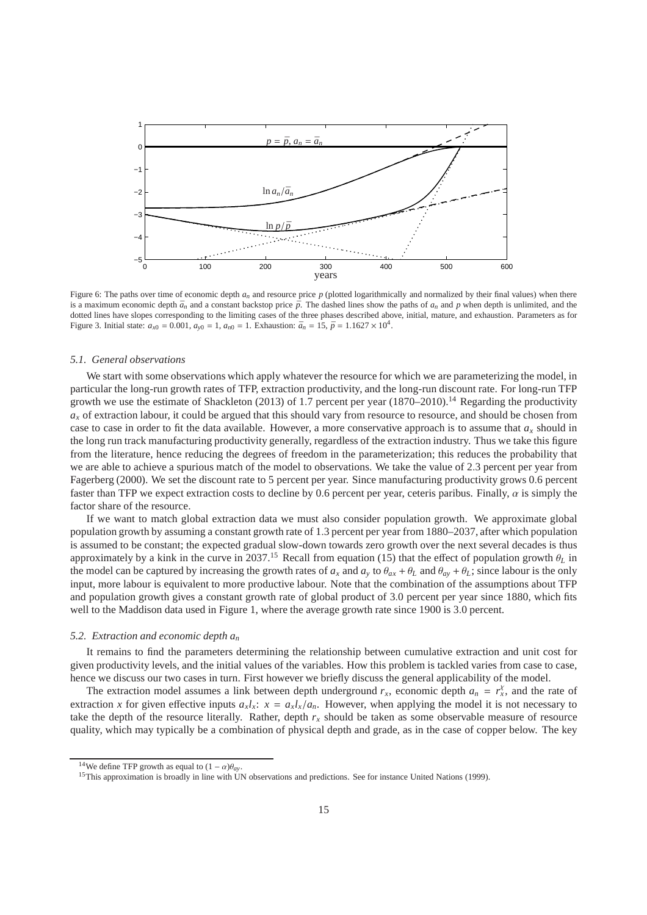

<span id="page-15-0"></span>Figure 6: The paths over time of economic depth  $a_n$  and resource price  $p$  (plotted logarithmically and normalized by their final values) when there is a maximum economic depth  $\bar{a}_n$  and a constant backstop price  $\bar{p}$ . The dashed lines show the paths of  $a_n$  and p when depth is unlimited, and the dotted lines have slopes corresponding to the limiting cases of the three phases described above, initial, mature, and exhaustion. Parameters as for Figure [3.](#page-10-1) Initial state:  $a_{x0} = 0.001$ ,  $a_{y0} = 1$ ,  $a_{n0} = 1$ . Exhaustion:  $\bar{a}_n = 15$ ,  $\bar{p} = 1.1627 \times 10^4$ .

### *5.1. General observations*

We start with some observations which apply whatever the resource for which we are parameterizing the model, in particular the long-run growth rates of TFP, extraction productivity, and the long-run discount rate. For long-run TFP growth we use the estimate of [Shackleton \(2013](#page-23-35)) of 1.7 percent per year (1870–2010).<sup>[14](#page-15-1)</sup> Regarding the productivity  $a<sub>x</sub>$  of extraction labour, it could be argued that this should vary from resource to resource, and should be chosen from case to case in order to fit the data available. However, a more conservative approach is to assume that  $a_x$  should in the long run track manufacturing productivity generally, regardless of the extraction industry. Thus we take this figure from the literature, hence reducing the degrees of freedom in the parameterization; this reduces the probability that we are able to achieve a spurious match of the model to observations. We take the value of 2.3 percent per year from [Fagerberg \(2000\)](#page-23-36). We set the discount rate to 5 percent per year. Since manufacturing productivity grows 0.6 percent faster than TFP we expect extraction costs to decline by 0.6 percent per year, ceteris paribus. Finally,  $\alpha$  is simply the factor share of the resource.

If we want to match global extraction data we must also consider population growth. We approximate global population growth by assuming a constant growth rate of 1.3 percent per year from 1880–2037, after which population is assumed to be constant; the expected gradual slow-down towards zero growth over the next several decades is thus approximately by a kink in the curve in 2037.<sup>[15](#page-15-2)</sup> Recall from equation [\(15\)](#page-7-2) that the effect of population growth  $\theta_L$  in the model can be captured by increasing the growth rates of  $a_x$  and  $a_y$  to  $\theta_{ax} + \theta_L$  and  $\theta_{ay} + \theta_L$ ; since labour is the only input, more labour is equivalent to more productive labour. Note that the combination of the assumptions about TFP and population growth gives a constant growth rate of global product of 3.0 percent per year since 1880, which fits well to the Maddison data used in Figure [1,](#page-2-0) where the average growth rate since 1900 is 3.0 percent.

### *5.2. Extraction and economic depth a<sup>n</sup>*

It remains to find the parameters determining the relationship between cumulative extraction and unit cost for given productivity levels, and the initial values of the variables. How this problem is tackled varies from case to case, hence we discuss our two cases in turn. First however we briefly discuss the general applicability of the model.

The extraction model assumes a link between depth underground  $r_x$ , economic depth  $a_n = r_x^{\chi}$ , and the rate of extraction *x* for given effective inputs  $a_x l_x$ :  $x = a_x l_x / a_n$ . However, when applying the model it is not necessary to take the depth of the resource literally. Rather, depth *r<sup>x</sup>* should be taken as some observable measure of resource quality, which may typically be a combination of physical depth and grade, as in the case of copper below. The key

<sup>&</sup>lt;sup>14</sup>We define TFP growth as equal to  $(1 - \alpha)\theta_{\alpha}$ 

<span id="page-15-2"></span><span id="page-15-1"></span><sup>&</sup>lt;sup>15</sup>This approximation is broadly in line with UN observations and predictions. See for instance [United Nations \(1999](#page-24-3)).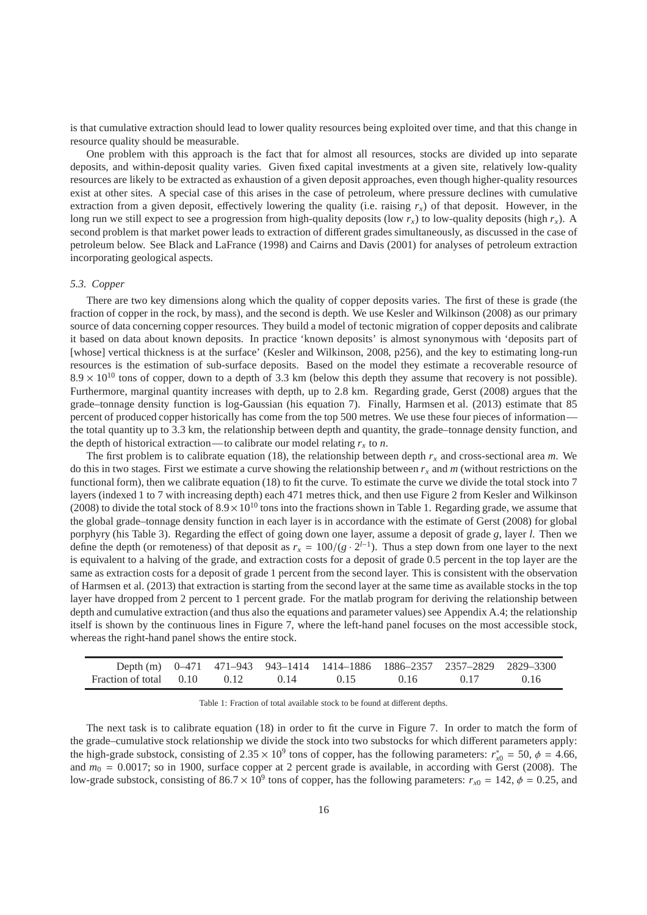is that cumulative extraction should lead to lower quality resources being exploited over time, and that this change in resource quality should be measurable.

One problem with this approach is the fact that for almost all resources, stocks are divided up into separate deposits, and within-deposit quality varies. Given fixed capital investments at a given site, relatively low-quality resources are likely to be extracted as exhaustion of a given deposit approaches, even though higher-quality resources exist at other sites. A special case of this arises in the case of petroleum, where pressure declines with cumulative extraction from a given deposit, effectively lowering the quality (i.e. raising  $r<sub>x</sub>$ ) of that deposit. However, in the long run we still expect to see a progression from high-quality deposits (low  $r_x$ ) to low-quality deposits (high  $r_x$ ). A second problem is that market power leads to extraction of different grades simultaneously, as discussed in the case of petroleum below. See [Black and LaFrance](#page-22-4) [\(1998\)](#page-22-4) and [Cairns and Davis](#page-23-37) [\(2001\)](#page-23-37) for analyses of petroleum extraction incorporating geological aspects.

# <span id="page-16-0"></span>*5.3. Copper*

There are two key dimensions along which the quality of copper deposits varies. The first of these is grade (the fraction of copper in the rock, by mass), and the second is depth. We use [Kesler and Wilkinson \(2008](#page-23-38)) as our primary source of data concerning copper resources. They build a model of tectonic migration of copper deposits and calibrate it based on data about known deposits. In practice 'known deposits' is almost synonymous with 'deposits part of [whose] vertical thickness is at the surface' [\(Kesler and Wilkinson, 2008](#page-23-38), p256), and the key to estimating long-run resources is the estimation of sub-surface deposits. Based on the model they estimate a recoverable resource of  $8.9 \times 10^{10}$  tons of copper, down to a depth of 3.3 km (below this depth they assume that recovery is not possible). Furthermore, marginal quantity increases with depth, up to 2.8 km. Regarding grade, [Gerst](#page-23-39) [\(2008\)](#page-23-39) argues that the grade–tonnage density function is log-Gaussian (his equation 7). Finally, [Harmsen et al. \(2013\)](#page-23-40) estimate that 85 percent of produced copper historically has come from the top 500 metres. We use these four pieces of information the total quantity up to 3.3 km, the relationship between depth and quantity, the grade–tonnage density function, and the depth of historical extraction—to calibrate our model relating  $r<sub>x</sub>$  to *n*.

The first problem is to calibrate equation [\(18\)](#page-8-2), the relationship between depth  $r<sub>x</sub>$  and cross-sectional area  $m$ . We do this in two stages. First we estimate a curve showing the relationship between  $r<sub>x</sub>$  and  $m$  (without restrictions on the functional form), then we calibrate equation [\(18\)](#page-8-2) to fit the curve. To estimate the curve we divide the total stock into 7 layers (indexed 1 to 7 with increasing depth) each 471 metres thick, and then use Figure 2 from [Kesler and Wilkinson](#page-23-38) [\(2008\)](#page-23-38) to divide the total stock of  $8.9 \times 10^{10}$  tons into the fractions shown in Table [1.](#page-16-1) Regarding grade, we assume that the global grade–tonnage density function in each layer is in accordance with the estimate of [Gerst](#page-23-39) [\(2008\)](#page-23-39) for global porphyry (his Table 3). Regarding the effect of going down one layer, assume a deposit of grade *g*, layer *l*. Then we define the depth (or remoteness) of that deposit as  $r_x = 100/(g \cdot 2^{l-1})$ . Thus a step down from one layer to the next is equivalent to a halving of the grade, and extraction costs for a deposit of grade 0.5 percent in the top layer are the same as extraction costs for a deposit of grade 1 percent from the second layer. This is consistent with the observation of [Harmsen et al. \(2013\)](#page-23-40) that extraction is starting from the second layer at the same time as available stocks in the top layer have dropped from 2 percent to 1 percent grade. For the matlab program for deriving the relationship between depth and cumulative extraction (and thus also the equations and parameter values) see Appendix [A.4;](#page-22-5) the relationship itself is shown by the continuous lines in Figure [7,](#page-17-0) where the left-hand panel focuses on the most accessible stock, whereas the right-hand panel shows the entire stock.

|                                               |  | Depth (m) 0-471 471-943 943-1414 1414-1886 1886-2357 2357-2829 2829-3300 |      |      |      |
|-----------------------------------------------|--|--------------------------------------------------------------------------|------|------|------|
| Fraction of total $0.10$ $0.12$ $0.14$ $0.15$ |  |                                                                          | 0.16 | 0.17 | 0.16 |

<span id="page-16-1"></span>Table 1: Fraction of total available stock to be found at different depths.

The next task is to calibrate equation [\(18\)](#page-8-2) in order to fit the curve in Figure [7.](#page-17-0) In order to match the form of the grade–cumulative stock relationship we divide the stock into two substocks for which different parameters apply: the high-grade substock, consisting of  $2.35 \times 10^9$  tons of copper, has the following parameters:  $r_{x0}^* = 50$ ,  $\phi = 4.66$ , and  $m_0 = 0.0017$ ; so in 1900, surface copper at 2 percent grade is available, in according with [Gerst \(2008](#page-23-39)). The low-grade substock, consisting of  $86.7 \times 10^9$  tons of copper, has the following parameters:  $r_{x0} = 142$ ,  $\phi = 0.25$ , and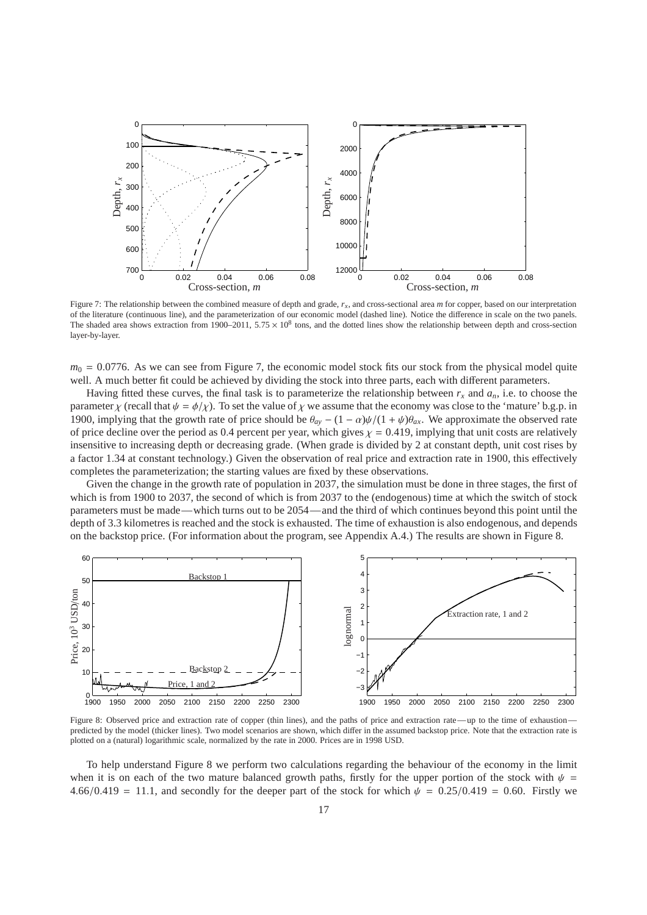

<span id="page-17-0"></span>Figure 7: The relationship between the combined measure of depth and grade, *rx*, and cross-sectional area *m* for copper, based on our interpretation of the literature (continuous line), and the parameterization of our economic model (dashed line). Notice the difference in scale on the two panels. The shaded area shows extraction from 1900–2011,  $5.75 \times 10^8$  tons, and the dotted lines show the relationship between depth and cross-section layer-by-layer.

 $m_0 = 0.0776$ . As we can see from Figure [7,](#page-17-0) the economic model stock fits our stock from the physical model quite well. A much better fit could be achieved by dividing the stock into three parts, each with different parameters.

Having fitted these curves, the final task is to parameterize the relationship between  $r_x$  and  $a_n$ , i.e. to choose the parameter  $\chi$  (recall that  $\psi = \phi/\chi$ ). To set the value of  $\chi$  we assume that the economy was close to the 'mature' b.g.p. in 1900, implying that the growth rate of price should be  $\theta_{ay}$  –  $(1 - \alpha)\psi/(1 + \psi)\theta_{ax}$ . We approximate the observed rate of price decline over the period as 0.4 percent per year, which gives  $\chi$  = 0.419, implying that unit costs are relatively insensitive to increasing depth or decreasing grade. (When grade is divided by 2 at constant depth, unit cost rises by a factor 1.34 at constant technology.) Given the observation of real price and extraction rate in 1900, this effectively completes the parameterization; the starting values are fixed by these observations.

Given the change in the growth rate of population in 2037, the simulation must be done in three stages, the first of which is from 1900 to 2037, the second of which is from 2037 to the (endogenous) time at which the switch of stock parameters must be made—which turns out to be 2054—and the third of which continues beyond this point until the depth of 3.3 kilometres is reached and the stock is exhausted. The time of exhaustion is also endogenous, and depends on the backstop price. (For information about the program, see Appendix [A.4.](#page-22-5)) The results are shown in Figure [8.](#page-17-1)



<span id="page-17-1"></span>Figure 8: Observed price and extraction rate of copper (thin lines), and the paths of price and extraction rate—up to the time of exhaustion predicted by the model (thicker lines). Two model scenarios are shown, which differ in the assumed backstop price. Note that the extraction rate is plotted on a (natural) logarithmic scale, normalized by the rate in 2000. Prices are in 1998 USD.

To help understand Figure [8](#page-17-1) we perform two calculations regarding the behaviour of the economy in the limit when it is on each of the two mature balanced growth paths, firstly for the upper portion of the stock with  $\psi =$ 4.66/0.419 = 11.1, and secondly for the deeper part of the stock for which  $\psi = 0.25/0.419 = 0.60$ . Firstly we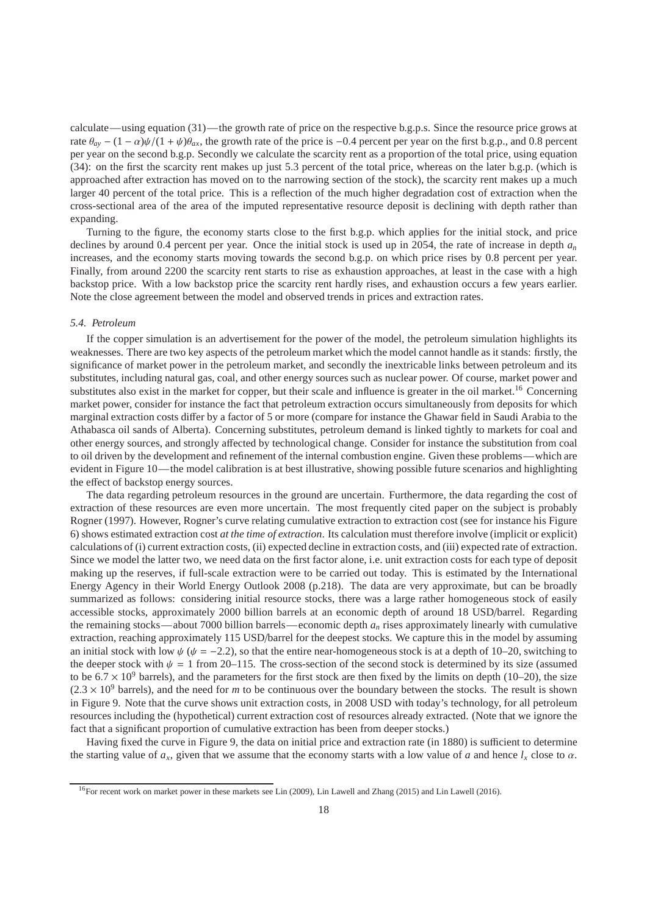calculate—using equation [\(31\)](#page-10-4)—the growth rate of price on the respective b.g.p.s. Since the resource price grows at rate  $\theta_{av}$  − (1 −  $\alpha$ ) $\psi/(1 + \psi)\theta_{ax}$ , the growth rate of the price is −0.4 percent per year on the first b.g.p., and 0.8 percent per year on the second b.g.p. Secondly we calculate the scarcity rent as a proportion of the total price, using equation [\(34\)](#page-11-3): on the first the scarcity rent makes up just 5.3 percent of the total price, whereas on the later b.g.p. (which is approached after extraction has moved on to the narrowing section of the stock), the scarcity rent makes up a much larger 40 percent of the total price. This is a reflection of the much higher degradation cost of extraction when the cross-sectional area of the area of the imputed representative resource deposit is declining with depth rather than expanding.

Turning to the figure, the economy starts close to the first b.g.p. which applies for the initial stock, and price declines by around 0.4 percent per year. Once the initial stock is used up in 2054, the rate of increase in depth *a<sup>n</sup>* increases, and the economy starts moving towards the second b.g.p. on which price rises by 0.8 percent per year. Finally, from around 2200 the scarcity rent starts to rise as exhaustion approaches, at least in the case with a high backstop price. With a low backstop price the scarcity rent hardly rises, and exhaustion occurs a few years earlier. Note the close agreement between the model and observed trends in prices and extraction rates.

# *5.4. Petroleum*

If the copper simulation is an advertisement for the power of the model, the petroleum simulation highlights its weaknesses. There are two key aspects of the petroleum market which the model cannot handle as it stands: firstly, the significance of market power in the petroleum market, and secondly the inextricable links between petroleum and its substitutes, including natural gas, coal, and other energy sources such as nuclear power. Of course, market power and substitutes also exist in the market for copper, but their scale and influence is greater in the oil market.<sup>[16](#page-18-0)</sup> Concerning market power, consider for instance the fact that petroleum extraction occurs simultaneously from deposits for which marginal extraction costs differ by a factor of 5 or more (compare for instance the Ghawar field in Saudi Arabia to the Athabasca oil sands of Alberta). Concerning substitutes, petroleum demand is linked tightly to markets for coal and other energy sources, and strongly affected by technological change. Consider for instance the substitution from coal to oil driven by the development and refinement of the internal combustion engine. Given these problems—which are evident in Figure [10—](#page-20-1)the model calibration is at best illustrative, showing possible future scenarios and highlighting the effect of backstop energy sources.

The data regarding petroleum resources in the ground are uncertain. Furthermore, the data regarding the cost of extraction of these resources are even more uncertain. The most frequently cited paper on the subject is probably [Rogner](#page-23-25) [\(1997\)](#page-23-25). However, Rogner's curve relating cumulative extraction to extraction cost (see for instance his Figure 6) shows estimated extraction cost *at the time of extraction*. Its calculation must therefore involve (implicit or explicit) calculations of (i) current extraction costs, (ii) expected decline in extraction costs, and (iii) expected rate of extraction. Since we model the latter two, we need data on the first factor alone, i.e. unit extraction costs for each type of deposit making up the reserves, if full-scale extraction were to be carried out today. This is estimated by the International Energy Agency in their World Energy Outlook 2008 (p.218). The data are very approximate, but can be broadly summarized as follows: considering initial resource stocks, there was a large rather homogeneous stock of easily accessible stocks, approximately 2000 billion barrels at an economic depth of around 18 USD/barrel. Regarding the remaining stocks—about 7000 billion barrels—economic depth *a<sup>n</sup>* rises approximately linearly with cumulative extraction, reaching approximately 115 USD/barrel for the deepest stocks. We capture this in the model by assuming an initial stock with low  $\psi$  ( $\psi$  = -2.2), so that the entire near-homogeneous stock is at a depth of 10–20, switching to the deeper stock with  $\psi = 1$  from 20–115. The cross-section of the second stock is determined by its size (assumed to be  $6.7 \times 10^9$  barrels), and the parameters for the first stock are then fixed by the limits on depth (10–20), the size  $(2.3 \times 10^9$  barrels), and the need for *m* to be continuous over the boundary between the stocks. The result is shown in Figure [9.](#page-19-0) Note that the curve shows unit extraction costs, in 2008 USD with today's technology, for all petroleum resources including the (hypothetical) current extraction cost of resources already extracted. (Note that we ignore the fact that a significant proportion of cumulative extraction has been from deeper stocks.)

Having fixed the curve in Figure [9,](#page-19-0) the data on initial price and extraction rate (in 1880) is sufficient to determine the starting value of  $a_x$ , given that we assume that the economy starts with a low value of *a* and hence  $l_x$  close to  $\alpha$ .

<span id="page-18-0"></span><sup>16</sup>For recent work on market power in these markets see [Lin \(2009\)](#page-23-41), [Lin Lawell and Zhang \(2015\)](#page-23-42) and [Lin Lawell \(2016\)](#page-23-43).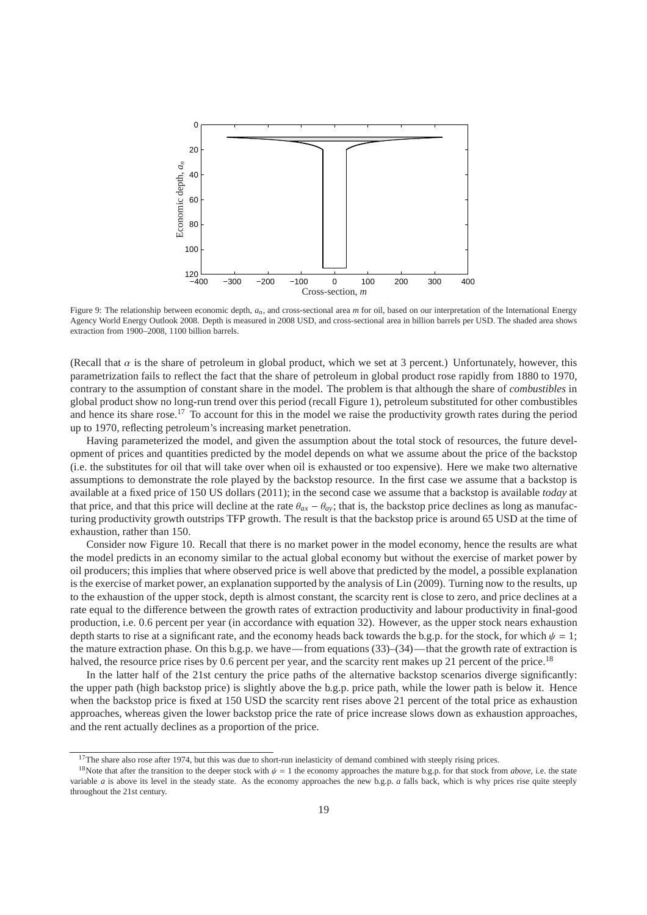

<span id="page-19-0"></span>Figure 9: The relationship between economic depth, *an*, and cross-sectional area *m* for oil, based on our interpretation of the International Energy Agency World Energy Outlook 2008. Depth is measured in 2008 USD, and cross-sectional area in billion barrels per USD. The shaded area shows extraction from 1900–2008, 1100 billion barrels.

(Recall that  $\alpha$  is the share of petroleum in global product, which we set at 3 percent.) Unfortunately, however, this parametrization fails to reflect the fact that the share of petroleum in global product rose rapidly from 1880 to 1970, contrary to the assumption of constant share in the model. The problem is that although the share of *combustibles* in global product show no long-run trend over this period (recall Figure [1\)](#page-2-0), petroleum substituted for other combustibles and hence its share rose.<sup>[17](#page-19-1)</sup> To account for this in the model we raise the productivity growth rates during the period up to 1970, reflecting petroleum's increasing market penetration.

Having parameterized the model, and given the assumption about the total stock of resources, the future development of prices and quantities predicted by the model depends on what we assume about the price of the backstop (i.e. the substitutes for oil that will take over when oil is exhausted or too expensive). Here we make two alternative assumptions to demonstrate the role played by the backstop resource. In the first case we assume that a backstop is available at a fixed price of 150 US dollars (2011); in the second case we assume that a backstop is available *today* at that price, and that this price will decline at the rate  $\theta_{ax} - \theta_{ay}$ ; that is, the backstop price declines as long as manufacturing productivity growth outstrips TFP growth. The result is that the backstop price is around 65 USD at the time of exhaustion, rather than 150.

Consider now Figure [10.](#page-20-1) Recall that there is no market power in the model economy, hence the results are what the model predicts in an economy similar to the actual global economy but without the exercise of market power by oil producers; this implies that where observed price is well above that predicted by the model, a possible explanation is the exercise of market power, an explanation supported by the analysis of [Lin \(2009\)](#page-23-41). Turning now to the results, up to the exhaustion of the upper stock, depth is almost constant, the scarcity rent is close to zero, and price declines at a rate equal to the difference between the growth rates of extraction productivity and labour productivity in final-good production, i.e. 0.6 percent per year (in accordance with equation [32\)](#page-11-1). However, as the upper stock nears exhaustion depth starts to rise at a significant rate, and the economy heads back towards the b.g.p. for the stock, for which  $\psi = 1$ ; the mature extraction phase. On this b.g.p. we have—from equations [\(33\)](#page-11-2)–[\(34\)](#page-11-3)—that the growth rate of extraction is halved, the resource price rises by 0.6 percent per year, and the scarcity rent makes up 21 percent of the price.<sup>[18](#page-19-2)</sup>

In the latter half of the 21st century the price paths of the alternative backstop scenarios diverge significantly: the upper path (high backstop price) is slightly above the b.g.p. price path, while the lower path is below it. Hence when the backstop price is fixed at 150 USD the scarcity rent rises above 21 percent of the total price as exhaustion approaches, whereas given the lower backstop price the rate of price increase slows down as exhaustion approaches, and the rent actually declines as a proportion of the price.

<span id="page-19-1"></span><sup>&</sup>lt;sup>17</sup>The share also rose after 1974, but this was due to short-run inelasticity of demand combined with steeply rising prices.

<span id="page-19-2"></span><sup>&</sup>lt;sup>18</sup>Note that after the transition to the deeper stock with  $\psi = 1$  the economy approaches the mature b.g.p. for that stock from *above*, i.e. the state variable *a* is above its level in the steady state. As the economy approaches the new b.g.p. *a* falls back, which is why prices rise quite steeply throughout the 21st century.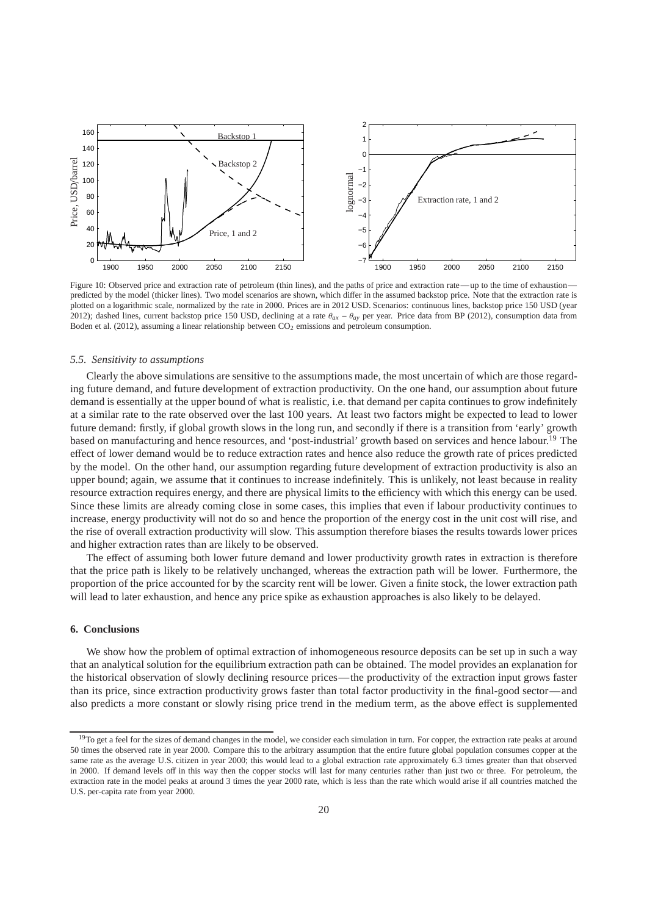

<span id="page-20-1"></span>Figure 10: Observed price and extraction rate of petroleum (thin lines), and the paths of price and extraction rate—up to the time of exhaustion predicted by the model (thicker lines). Two model scenarios are shown, which differ in the assumed backstop price. Note that the extraction rate is plotted on a logarithmic scale, normalized by the rate in 2000. Prices are in 2012 USD. Scenarios: continuous lines, backstop price 150 USD (year 2012); dashed lines, current backstop price 150 USD, declining at a rate θ*ax* − θ*ay* per year. Price data from [BP \(2012\)](#page-23-8), consumption data from [Boden et al. \(2012](#page-23-7)), assuming a linear relationship between  $CO<sub>2</sub>$  emissions and petroleum consumption.

#### *5.5. Sensitivity to assumptions*

Clearly the above simulations are sensitive to the assumptions made, the most uncertain of which are those regarding future demand, and future development of extraction productivity. On the one hand, our assumption about future demand is essentially at the upper bound of what is realistic, i.e. that demand per capita continues to grow indefinitely at a similar rate to the rate observed over the last 100 years. At least two factors might be expected to lead to lower future demand: firstly, if global growth slows in the long run, and secondly if there is a transition from 'early' growth based on manufacturing and hence resources, and 'post-industrial' growth based on services and hence labour.<sup>[19](#page-20-2)</sup> The effect of lower demand would be to reduce extraction rates and hence also reduce the growth rate of prices predicted by the model. On the other hand, our assumption regarding future development of extraction productivity is also an upper bound; again, we assume that it continues to increase indefinitely. This is unlikely, not least because in reality resource extraction requires energy, and there are physical limits to the efficiency with which this energy can be used. Since these limits are already coming close in some cases, this implies that even if labour productivity continues to increase, energy productivity will not do so and hence the proportion of the energy cost in the unit cost will rise, and the rise of overall extraction productivity will slow. This assumption therefore biases the results towards lower prices and higher extraction rates than are likely to be observed.

The effect of assuming both lower future demand and lower productivity growth rates in extraction is therefore that the price path is likely to be relatively unchanged, whereas the extraction path will be lower. Furthermore, the proportion of the price accounted for by the scarcity rent will be lower. Given a finite stock, the lower extraction path will lead to later exhaustion, and hence any price spike as exhaustion approaches is also likely to be delayed.

### <span id="page-20-0"></span>**6. Conclusions**

We show how the problem of optimal extraction of inhomogeneous resource deposits can be set up in such a way that an analytical solution for the equilibrium extraction path can be obtained. The model provides an explanation for the historical observation of slowly declining resource prices—the productivity of the extraction input grows faster than its price, since extraction productivity grows faster than total factor productivity in the final-good sector—and also predicts a more constant or slowly rising price trend in the medium term, as the above effect is supplemented

<span id="page-20-2"></span><sup>&</sup>lt;sup>19</sup>To get a feel for the sizes of demand changes in the model, we consider each simulation in turn. For copper, the extraction rate peaks at around 50 times the observed rate in year 2000. Compare this to the arbitrary assumption that the entire future global population consumes copper at the same rate as the average U.S. citizen in year 2000; this would lead to a global extraction rate approximately 6.3 times greater than that observed in 2000. If demand levels off in this way then the copper stocks will last for many centuries rather than just two or three. For petroleum, the extraction rate in the model peaks at around 3 times the year 2000 rate, which is less than the rate which would arise if all countries matched the U.S. per-capita rate from year 2000.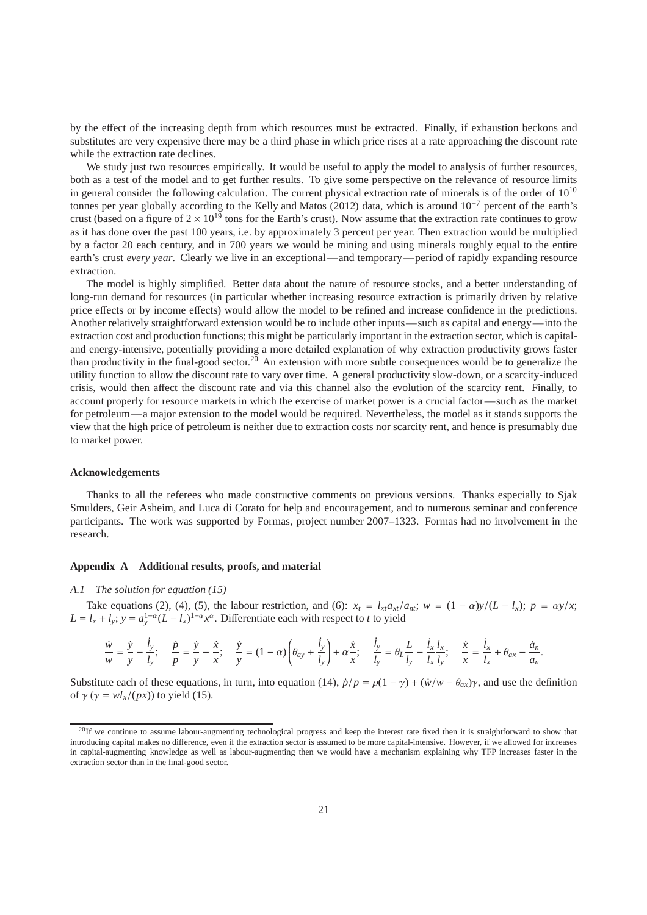by the effect of the increasing depth from which resources must be extracted. Finally, if exhaustion beckons and substitutes are very expensive there may be a third phase in which price rises at a rate approaching the discount rate while the extraction rate declines.

We study just two resources empirically. It would be useful to apply the model to analysis of further resources, both as a test of the model and to get further results. To give some perspective on the relevance of resource limits in general consider the following calculation. The current physical extraction rate of minerals is of the order of  $10^{10}$ tonnes per year globally according to the [Kelly and Matos](#page-23-6) [\(2012\)](#page-23-6) data, which is around 10<sup>−</sup><sup>7</sup> percent of the earth's crust (based on a figure of  $2 \times 10^{19}$  tons for the Earth's crust). Now assume that the extraction rate continues to grow as it has done over the past 100 years, i.e. by approximately 3 percent per year. Then extraction would be multiplied by a factor 20 each century, and in 700 years we would be mining and using minerals roughly equal to the entire earth's crust *every year*. Clearly we live in an exceptional—and temporary—period of rapidly expanding resource extraction.

The model is highly simplified. Better data about the nature of resource stocks, and a better understanding of long-run demand for resources (in particular whether increasing resource extraction is primarily driven by relative price effects or by income effects) would allow the model to be refined and increase confidence in the predictions. Another relatively straightforward extension would be to include other inputs—such as capital and energy—into the extraction cost and production functions; this might be particularly important in the extraction sector, which is capitaland energy-intensive, potentially providing a more detailed explanation of why extraction productivity grows faster than productivity in the final-good sector.<sup>[20](#page-21-1)</sup> An extension with more subtle consequences would be to generalize the utility function to allow the discount rate to vary over time. A general productivity slow-down, or a scarcity-induced crisis, would then affect the discount rate and via this channel also the evolution of the scarcity rent. Finally, to account properly for resource markets in which the exercise of market power is a crucial factor—such as the market for petroleum—a major extension to the model would be required. Nevertheless, the model as it stands supports the view that the high price of petroleum is neither due to extraction costs nor scarcity rent, and hence is presumably due to market power.

#### **Acknowledgements**

Thanks to all the referees who made constructive comments on previous versions. Thanks especially to Sjak Smulders, Geir Asheim, and Luca di Corato for help and encouragement, and to numerous seminar and conference participants. The work was supported by Formas, project number 2007–1323. Formas had no involvement in the research.

### <span id="page-21-0"></span>**Appendix A Additional results, proofs, and material**

# *A.1 The solution for equation [\(15\)](#page-7-2)*

Take equations (2), (4), (5), the labour restriction, and (6):  $x_t = l_{xt}a_{xt}/a_{nt}$ ;  $w = (1 - \alpha)y/(L - l_x)$ ;  $p = \alpha y/x$ ;  $L = l_x + l_y$ ;  $y = a_y^{1-\alpha} (L - l_x)^{1-\alpha} x^{\alpha}$ . Differentiate each with respect to *t* to yield

$$
\frac{\dot{w}}{w} = \frac{\dot{y}}{y} - \frac{\dot{l}_y}{l_y}; \quad \frac{\dot{p}}{p} = \frac{\dot{y}}{y} - \frac{\dot{x}}{x}; \quad \frac{\dot{y}}{y} = (1 - \alpha) \left( \theta_{ay} + \frac{\dot{l}_y}{l_y} \right) + \alpha \frac{\dot{x}}{x}; \quad \frac{\dot{l}_y}{l_y} = \theta_L \frac{L}{l_y} - \frac{\dot{l}_x}{l_x} \frac{l_x}{l_y}; \quad \frac{\dot{x}}{x} = \frac{\dot{l}_x}{l_x} + \theta_{ax} - \frac{\dot{a}_n}{a_n}.
$$

Substitute each of these equations, in turn, into equation (14),  $\dot{p}/p = \rho(1 - \gamma) + (\dot{w}/w - \theta_{ax})\gamma$ , and use the definition of  $\gamma$  ( $\gamma = \frac{wl_x}{(px)}$ ) to yield [\(15\)](#page-7-2).

<span id="page-21-1"></span><sup>&</sup>lt;sup>20</sup>If we continue to assume labour-augmenting technological progress and keep the interest rate fixed then it is straightforward to show that introducing capital makes no difference, even if the extraction sector is assumed to be more capital-intensive. However, if we allowed for increases in capital-augmenting knowledge as well as labour-augmenting then we would have a mechanism explaining why TFP increases faster in the extraction sector than in the final-good sector.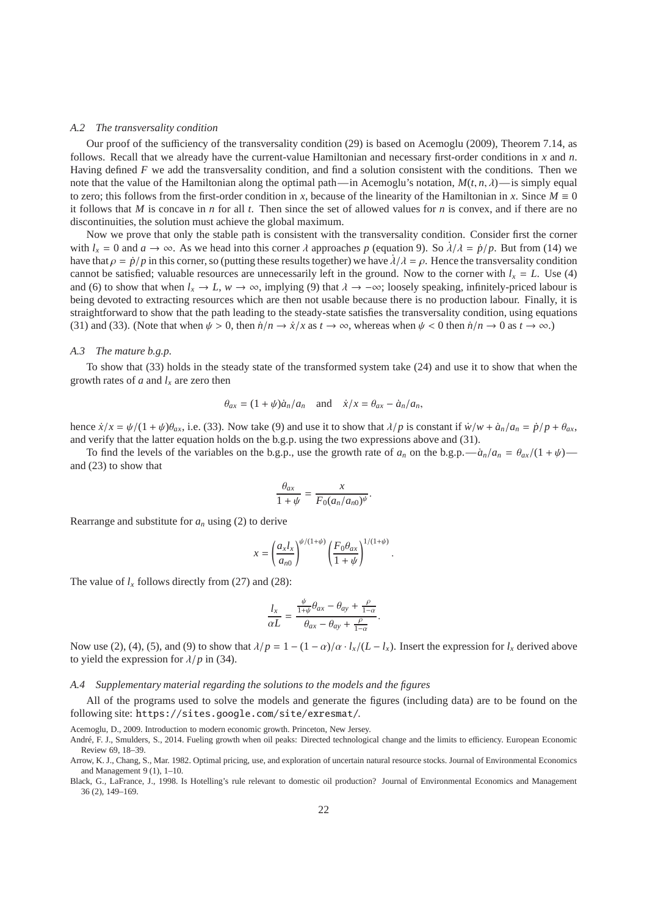# <span id="page-22-2"></span>*A.2 The transversality condition*

Our proof of the sufficiency of the transversality condition [\(29\)](#page-10-5) is based on [Acemoglu \(2009](#page-22-6)), Theorem 7.14, as follows. Recall that we already have the current-value Hamiltonian and necessary first-order conditions in *x* and *n*. Having defined *F* we add the transversality condition, and find a solution consistent with the conditions. Then we note that the value of the Hamiltonian along the optimal path—in Acemoglu's notation,  $M(t, n, \lambda)$ —is simply equal to zero; this follows from the first-order condition in *x*, because of the linearity of the Hamiltonian in *x*. Since  $M \equiv 0$ it follows that *M* is concave in *n* for all *t*. Then since the set of allowed values for *n* is convex, and if there are no discontinuities, the solution must achieve the global maximum.

Now we prove that only the stable path is consistent with the transversality condition. Consider first the corner with  $l_x = 0$  and  $a \rightarrow \infty$ . As we head into this corner  $\lambda$  approaches p (equation [9\)](#page-6-2). So  $\lambda/\lambda = p/p$ . But from [\(14\)](#page-7-6) we have that  $\rho = \dot{p}/p$  in this corner, so (putting these results together) we have  $\lambda/\lambda = \rho$ . Hence the transversality condition cannot be satisfied; valuable resources are unnecessarily left in the ground. Now to the corner with  $l_x = L$ . Use [\(4\)](#page-5-4) and [\(6\)](#page-5-5) to show that when  $l_x \to L$ ,  $w \to \infty$ , implying [\(9\)](#page-6-2) that  $\lambda \to -\infty$ ; loosely speaking, infinitely-priced labour is being devoted to extracting resources which are then not usable because there is no production labour. Finally, it is straightforward to show that the path leading to the steady-state satisfies the transversality condition, using equations [\(31\)](#page-10-4) and [\(33\)](#page-11-2). (Note that when  $\psi > 0$ , then  $\dot{n}/n \to \dot{x}/x$  as  $t \to \infty$ , whereas when  $\psi < 0$  then  $\dot{n}/n \to 0$  as  $t \to \infty$ .)

# <span id="page-22-3"></span>*A.3 The mature b.g.p.*

To show that [\(33\)](#page-11-2) holds in the steady state of the transformed system take [\(24\)](#page-9-4) and use it to show that when the growth rates of *a* and  $l<sub>x</sub>$  are zero then

$$
\theta_{ax} = (1 + \psi)\dot{a}_n/a_n
$$
 and  $\dot{x}/x = \theta_{ax} - \dot{a}_n/a_n$ ,

hence  $\dot{x}/x = \psi/(1 + \psi)\theta_{ax}$ , i.e. [\(33\)](#page-11-2). Now take [\(9\)](#page-6-2) and use it to show that  $\lambda/p$  is constant if  $\dot{w}/w + \dot{a}_n/a_n = \dot{p}/p + \theta_{ax}$ , and verify that the latter equation holds on the b.g.p. using the two expressions above and [\(31\)](#page-10-4).

To find the levels of the variables on the b.g.p., use the growth rate of  $a_n$  on the b.g.p. —  $\dot{a}_n/a_n = \theta_{ax}/(1 + \psi)$  and [\(23\)](#page-9-3) to show that

$$
\frac{\theta_{ax}}{1+\psi}=\frac{x}{F_0(a_n/a_{n0})^{\psi}}.
$$

Rearrange and substitute for *a<sup>n</sup>* using [\(2\)](#page-5-1) to derive

$$
x = \left(\frac{a_x l_x}{a_{n0}}\right)^{\psi/(1+\psi)} \left(\frac{F_0 \theta_{ax}}{1+\psi}\right)^{1/(1+\psi)}
$$

.

The value of  $l_x$  follows directly from [\(27\)](#page-9-7) and [\(28\)](#page-9-8):

$$
\frac{l_x}{\alpha L} = \frac{\frac{\psi}{1+\psi}\theta_{ax} - \theta_{ay} + \frac{\rho}{1-\alpha}}{\theta_{ax} - \theta_{ay} + \frac{\rho}{1-\alpha}}.
$$

Now use [\(2\)](#page-5-1), [\(4\)](#page-5-4), [\(5\)](#page-5-6), and [\(9\)](#page-6-2) to show that  $\lambda/p = 1 - (1 - \alpha)/\alpha \cdot l_x/(L - l_x)$ . Insert the expression for  $l_x$  derived above to yield the expression for  $\lambda/p$  in [\(34\)](#page-11-3).

### <span id="page-22-5"></span>*A.4 Supplementary material regarding the solutions to the models and the figures*

All of the programs used to solve the models and generate the figures (including data) are to be found on the following site: <https://sites.google.com/site/exresmat/>.

<span id="page-22-6"></span>Acemoglu, D., 2009. Introduction to modern economic growth. Princeton, New Jersey.

<span id="page-22-1"></span>André, F. J., Smulders, S., 2014. Fueling growth when oil peaks: Directed technological change and the limits to efficiency. European Economic Review 69, 18–39.

<span id="page-22-0"></span>Arrow, K. J., Chang, S., Mar. 1982. Optimal pricing, use, and exploration of uncertain natural resource stocks. Journal of Environmental Economics and Management  $9(1)$ ,  $1-10$ .

<span id="page-22-4"></span>Black, G., LaFrance, J., 1998. Is Hotelling's rule relevant to domestic oil production? Journal of Environmental Economics and Management 36 (2), 149–169.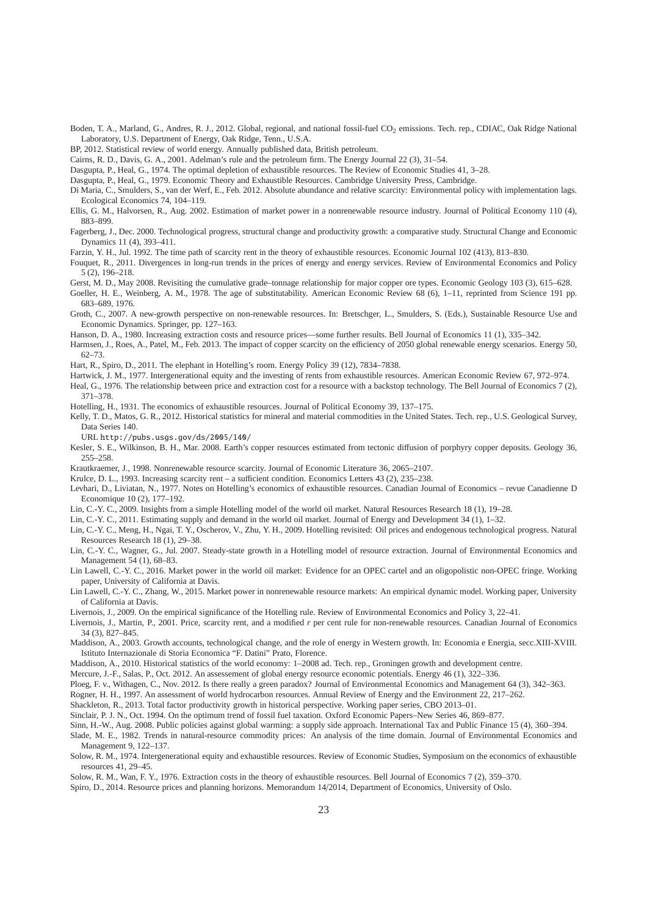<span id="page-23-7"></span>Boden, T. A., Marland, G., Andres, R. J., 2012. Global, regional, and national fossil-fuel CO<sub>2</sub> emissions. Tech. rep., CDIAC, Oak Ridge National Laboratory, U.S. Department of Energy, Oak Ridge, Tenn., U.S.A.

<span id="page-23-8"></span>BP, 2012. Statistical review of world energy. Annually published data, British petroleum.

<span id="page-23-37"></span>Cairns, R. D., Davis, G. A., 2001. Adelman's rule and the petroleum firm. The Energy Journal 22 (3), 31–54.

<span id="page-23-1"></span>Dasgupta, P., Heal, G., 1974. The optimal depletion of exhaustible resources. The Review of Economic Studies 41, 3–28.

<span id="page-23-29"></span>Dasgupta, P., Heal, G., 1979. Economic Theory and Exhaustible Resources. Cambridge University Press, Cambridge.

<span id="page-23-32"></span>Di Maria, C., Smulders, S., van der Werf, E., Feb. 2012. Absolute abundance and relative scarcity: Environmental policy with implementation lags. Ecological Economics 74, 104–119.

<span id="page-23-21"></span>Ellis, G. M., Halvorsen, R., Aug. 2002. Estimation of market power in a nonrenewable resource industry. Journal of Political Economy 110 (4), 883–899.

<span id="page-23-36"></span>Fagerberg, J., Dec. 2000. Technological progress, structural change and productivity growth: a comparative study. Structural Change and Economic Dynamics 11 (4), 393–411.

<span id="page-23-18"></span>Farzin, Y. H., Jul. 1992. The time path of scarcity rent in the theory of exhaustible resources. Economic Journal 102 (413), 813–830.

<span id="page-23-9"></span>Fouquet, R., 2011. Divergences in long-run trends in the prices of energy and energy services. Review of Environmental Economics and Policy 5 (2), 196–218.

<span id="page-23-39"></span>Gerst, M. D., May 2008. Revisiting the cumulative grade–tonnage relationship for major copper ore types. Economic Geology 103 (3), 615–628.

<span id="page-23-27"></span>Goeller, H. E., Weinberg, A. M., 1978. The age of substitutability. American Economic Review 68 (6), 1–11, reprinted from Science 191 pp. 683–689, 1976.

<span id="page-23-4"></span>Groth, C., 2007. A new-growth perspective on non-renewable resources. In: Bretschger, L., Smulders, S. (Eds.), Sustainable Resource Use and Economic Dynamics. Springer, pp. 127–163.

<span id="page-23-15"></span>Hanson, D. A., 1980. Increasing extraction costs and resource prices—some further results. Bell Journal of Economics 11 (1), 335–342.

<span id="page-23-40"></span>Harmsen, J., Roes, A., Patel, M., Feb. 2013. The impact of copper scarcity on the efficiency of 2050 global renewable energy scenarios. Energy 50, 62–73.

<span id="page-23-28"></span>Hart, R., Spiro, D., 2011. The elephant in Hotelling's room. Energy Policy 39 (12), 7834–7838.

<span id="page-23-11"></span><span id="page-23-3"></span>Hartwick, J. M., 1977. Intergenerational equity and the investing of rents from exhaustible resources. American Economic Review 67, 972–974. Heal, G., 1976. The relationship between price and extraction cost for a resource with a backstop technology. The Bell Journal of Economics 7 (2), 371–378.

<span id="page-23-0"></span>Hotelling, H., 1931. The economics of exhaustible resources. Journal of Political Economy 39, 137–175.

<span id="page-23-6"></span>Kelly, T. D., Matos, G. R., 2012. Historical statistics for mineral and material commodities in the United States. Tech. rep., U.S. Geological Survey, Data Series 140.

URL <http://pubs.usgs.gov/ds/2005/140/>

<span id="page-23-38"></span>Kesler, S. E., Wilkinson, B. H., Mar. 2008. Earth's copper resources estimated from tectonic diffusion of porphyry copper deposits. Geology 36, 255–258.

<span id="page-23-34"></span>Krautkraemer, J., 1998. Nonrenewable resource scarcity. Journal of Economic Literature 36, 2065–2107.

<span id="page-23-17"></span>Krulce, D. L., 1993. Increasing scarcity rent – a sufficient condition. Economics Letters 43 (2), 235–238.

<span id="page-23-14"></span>Levhari, D., Liviatan, N., 1977. Notes on Hotelling's economics of exhaustible resources. Canadian Journal of Economics – revue Canadienne D Economique 10 (2), 177–192.

<span id="page-23-41"></span>Lin, C.-Y. C., 2009. Insights from a simple Hotelling model of the world oil market. Natural Resources Research 18 (1), 19–28.

<span id="page-23-22"></span>Lin, C.-Y. C., 2011. Estimating supply and demand in the world oil market. Journal of Energy and Development 34 (1), 1–32.

<span id="page-23-20"></span>Lin, C.-Y. C., Meng, H., Ngai, T. Y., Oscherov, V., Zhu, Y. H., 2009. Hotelling revisited: Oil prices and endogenous technological progress. Natural Resources Research 18 (1), 29–38.

<span id="page-23-23"></span>Lin, C.-Y. C., Wagner, G., Jul. 2007. Steady-state growth in a Hotelling model of resource extraction. Journal of Environmental Economics and Management 54 (1), 68–83.

<span id="page-23-43"></span>Lin Lawell, C.-Y. C., 2016. Market power in the world oil market: Evidence for an OPEC cartel and an oligopolistic non-OPEC fringe. Working paper, University of California at Davis.

<span id="page-23-42"></span>Lin Lawell, C.-Y. C., Zhang, W., 2015. Market power in nonrenewable resource markets: An empirical dynamic model. Working paper, University of California at Davis.

<span id="page-23-19"></span>Livernois, J., 2009. On the empirical significance of the Hotelling rule. Review of Environmental Economics and Policy 3, 22–41.

<span id="page-23-13"></span>Livernois, J., Martin, P., 2001. Price, scarcity rent, and a modified *r* per cent rule for non-renewable resources. Canadian Journal of Economics 34 (3), 827–845.

<span id="page-23-10"></span>Maddison, A., 2003. Growth accounts, technological change, and the role of energy in Western growth. In: Economia e Energia, secc.XIII-XVIII. Istituto Internazionale di Storia Economica "F. Datini" Prato, Florence.

<span id="page-23-5"></span>Maddison, A., 2010. Historical statistics of the world economy: 1–2008 ad. Tech. rep., Groningen growth and development centre.

<span id="page-23-26"></span>Mercure, J.-F., Salas, P., Oct. 2012. An assessement of global energy resource economic potentials. Energy 46 (1), 322–336.

<span id="page-23-33"></span>Ploeg, F. v., Withagen, C., Nov. 2012. Is there really a green paradox? Journal of Environmental Economics and Management 64 (3), 342–363.

<span id="page-23-25"></span>Rogner, H. H., 1997. An assessment of world hydrocarbon resources. Annual Review of Energy and the Environment 22, 217–262.

<span id="page-23-35"></span>Shackleton, R., 2013. Total factor productivity growth in historical perspective. Working paper series, CBO 2013–01.

<span id="page-23-30"></span>Sinclair, P. J. N., Oct. 1994. On the optimum trend of fossil fuel taxation. Oxford Economic Papers–New Series 46, 869–877.

<span id="page-23-31"></span>Sinn, H.-W., Aug. 2008. Public policies against global warming: a supply side approach. International Tax and Public Finance 15 (4), 360–394.

<span id="page-23-16"></span>Slade, M. E., 1982. Trends in natural-resource commodity prices: An analysis of the time domain. Journal of Environmental Economics and Management 9, 122–137.

<span id="page-23-2"></span>Solow, R. M., 1974. Intergenerational equity and exhaustible resources. Review of Economic Studies, Symposium on the economics of exhaustible resources 41, 29–45.

<span id="page-23-12"></span>Solow, R. M., Wan, F. Y., 1976. Extraction costs in the theory of exhaustible resources. Bell Journal of Economics 7 (2), 359–370.

<span id="page-23-24"></span>Spiro, D., 2014. Resource prices and planning horizons. Memorandum 14/2014, Department of Economics, University of Oslo.